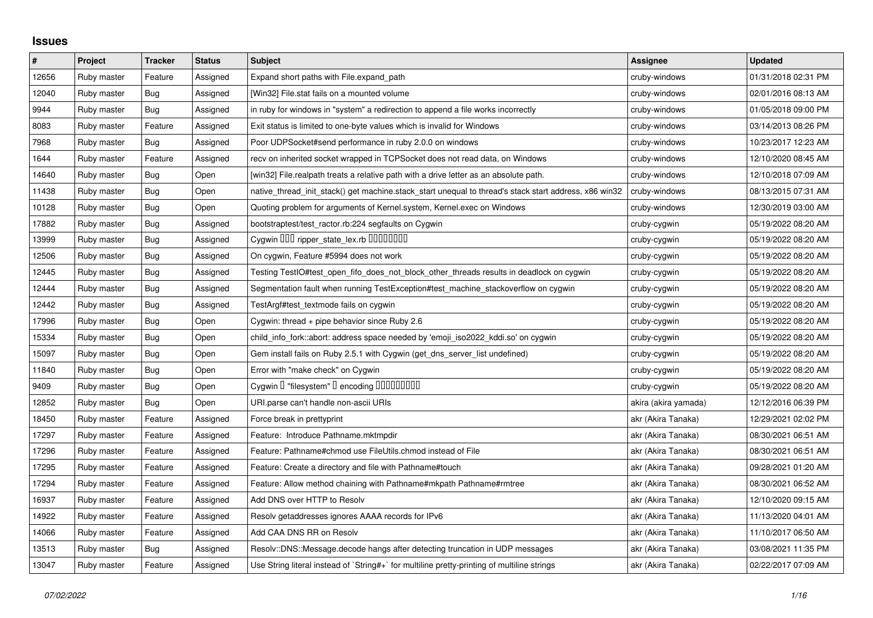## **Issues**

| $\pmb{\#}$ | Project     | <b>Tracker</b> | <b>Status</b> | <b>Subject</b>                                                                                        | <b>Assignee</b>      | <b>Updated</b>      |
|------------|-------------|----------------|---------------|-------------------------------------------------------------------------------------------------------|----------------------|---------------------|
| 12656      | Ruby master | Feature        | Assigned      | Expand short paths with File.expand_path                                                              | cruby-windows        | 01/31/2018 02:31 PM |
| 12040      | Ruby master | Bug            | Assigned      | [Win32] File.stat fails on a mounted volume                                                           | cruby-windows        | 02/01/2016 08:13 AM |
| 9944       | Ruby master | <b>Bug</b>     | Assigned      | in ruby for windows in "system" a redirection to append a file works incorrectly                      | cruby-windows        | 01/05/2018 09:00 PM |
| 8083       | Ruby master | Feature        | Assigned      | Exit status is limited to one-byte values which is invalid for Windows                                | cruby-windows        | 03/14/2013 08:26 PM |
| 7968       | Ruby master | Bug            | Assigned      | Poor UDPSocket#send performance in ruby 2.0.0 on windows                                              | cruby-windows        | 10/23/2017 12:23 AM |
| 1644       | Ruby master | Feature        | Assigned      | recv on inherited socket wrapped in TCPSocket does not read data, on Windows                          | cruby-windows        | 12/10/2020 08:45 AM |
| 14640      | Ruby master | <b>Bug</b>     | Open          | [win32] File.realpath treats a relative path with a drive letter as an absolute path.                 | cruby-windows        | 12/10/2018 07:09 AM |
| 11438      | Ruby master | Bug            | Open          | native_thread_init_stack() get machine.stack_start unequal to thread's stack start address, x86 win32 | cruby-windows        | 08/13/2015 07:31 AM |
| 10128      | Ruby master | <b>Bug</b>     | Open          | Quoting problem for arguments of Kernel.system, Kernel.exec on Windows                                | cruby-windows        | 12/30/2019 03:00 AM |
| 17882      | Ruby master | <b>Bug</b>     | Assigned      | bootstraptest/test_ractor.rb:224 segfaults on Cygwin                                                  | cruby-cygwin         | 05/19/2022 08:20 AM |
| 13999      | Ruby master | Bug            | Assigned      | Cygwin 000 ripper_state_lex.rb 0000000                                                                | cruby-cygwin         | 05/19/2022 08:20 AM |
| 12506      | Ruby master | <b>Bug</b>     | Assigned      | On cygwin, Feature #5994 does not work                                                                | cruby-cygwin         | 05/19/2022 08:20 AM |
| 12445      | Ruby master | <b>Bug</b>     | Assigned      | Testing TestIO#test_open_fifo_does_not_block_other_threads results in deadlock on cygwin              | cruby-cygwin         | 05/19/2022 08:20 AM |
| 12444      | Ruby master | Bug            | Assigned      | Segmentation fault when running TestException#test_machine_stackoverflow on cygwin                    | cruby-cygwin         | 05/19/2022 08:20 AM |
| 12442      | Ruby master | <b>Bug</b>     | Assigned      | TestArgf#test_textmode fails on cygwin                                                                | cruby-cygwin         | 05/19/2022 08:20 AM |
| 17996      | Ruby master | Bug            | Open          | Cygwin: thread + pipe behavior since Ruby 2.6                                                         | cruby-cygwin         | 05/19/2022 08:20 AM |
| 15334      | Ruby master | Bug            | Open          | child info fork::abort: address space needed by 'emoji iso2022 kddi.so' on cygwin                     | cruby-cygwin         | 05/19/2022 08:20 AM |
| 15097      | Ruby master | <b>Bug</b>     | Open          | Gem install fails on Ruby 2.5.1 with Cygwin (get_dns_server_list undefined)                           | cruby-cygwin         | 05/19/2022 08:20 AM |
| 11840      | Ruby master | <b>Bug</b>     | Open          | Error with "make check" on Cygwin                                                                     | cruby-cygwin         | 05/19/2022 08:20 AM |
| 9409       | Ruby master | Bug            | Open          | Cygwin I "filesystem" I encoding IIIIIIIIIIIII                                                        | cruby-cygwin         | 05/19/2022 08:20 AM |
| 12852      | Ruby master | <b>Bug</b>     | Open          | URI.parse can't handle non-ascii URIs                                                                 | akira (akira yamada) | 12/12/2016 06:39 PM |
| 18450      | Ruby master | Feature        | Assigned      | Force break in prettyprint                                                                            | akr (Akira Tanaka)   | 12/29/2021 02:02 PM |
| 17297      | Ruby master | Feature        | Assigned      | Feature: Introduce Pathname.mktmpdir                                                                  | akr (Akira Tanaka)   | 08/30/2021 06:51 AM |
| 17296      | Ruby master | Feature        | Assigned      | Feature: Pathname#chmod use FileUtils.chmod instead of File                                           | akr (Akira Tanaka)   | 08/30/2021 06:51 AM |
| 17295      | Ruby master | Feature        | Assigned      | Feature: Create a directory and file with Pathname#touch                                              | akr (Akira Tanaka)   | 09/28/2021 01:20 AM |
| 17294      | Ruby master | Feature        | Assigned      | Feature: Allow method chaining with Pathname#mkpath Pathname#rmtree                                   | akr (Akira Tanaka)   | 08/30/2021 06:52 AM |
| 16937      | Ruby master | Feature        | Assigned      | Add DNS over HTTP to Resolv                                                                           | akr (Akira Tanaka)   | 12/10/2020 09:15 AM |
| 14922      | Ruby master | Feature        | Assigned      | Resolv getaddresses ignores AAAA records for IPv6                                                     | akr (Akira Tanaka)   | 11/13/2020 04:01 AM |
| 14066      | Ruby master | Feature        | Assigned      | Add CAA DNS RR on Resolv                                                                              | akr (Akira Tanaka)   | 11/10/2017 06:50 AM |
| 13513      | Ruby master | Bug            | Assigned      | Resolv::DNS::Message.decode hangs after detecting truncation in UDP messages                          | akr (Akira Tanaka)   | 03/08/2021 11:35 PM |
| 13047      | Ruby master | Feature        | Assigned      | Use String literal instead of `String#+` for multiline pretty-printing of multiline strings           | akr (Akira Tanaka)   | 02/22/2017 07:09 AM |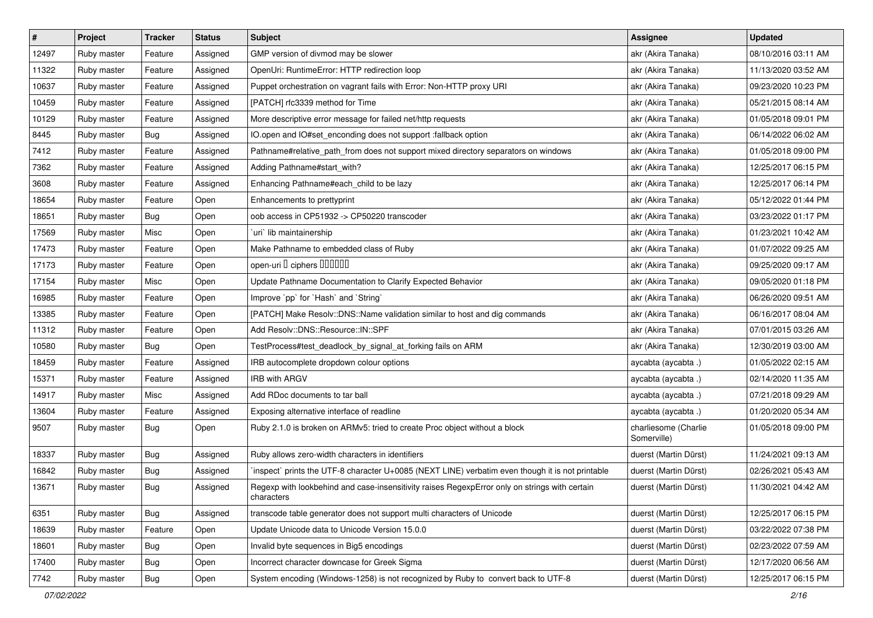| $\pmb{\#}$ | Project     | <b>Tracker</b> | <b>Status</b> | Subject                                                                                                     | Assignee                            | <b>Updated</b>      |
|------------|-------------|----------------|---------------|-------------------------------------------------------------------------------------------------------------|-------------------------------------|---------------------|
| 12497      | Ruby master | Feature        | Assigned      | GMP version of divmod may be slower                                                                         | akr (Akira Tanaka)                  | 08/10/2016 03:11 AM |
| 11322      | Ruby master | Feature        | Assigned      | OpenUri: RuntimeError: HTTP redirection loop                                                                | akr (Akira Tanaka)                  | 11/13/2020 03:52 AM |
| 10637      | Ruby master | Feature        | Assigned      | Puppet orchestration on vagrant fails with Error: Non-HTTP proxy URI                                        | akr (Akira Tanaka)                  | 09/23/2020 10:23 PM |
| 10459      | Ruby master | Feature        | Assigned      | [PATCH] rfc3339 method for Time                                                                             | akr (Akira Tanaka)                  | 05/21/2015 08:14 AM |
| 10129      | Ruby master | Feature        | Assigned      | More descriptive error message for failed net/http requests                                                 | akr (Akira Tanaka)                  | 01/05/2018 09:01 PM |
| 8445       | Ruby master | <b>Bug</b>     | Assigned      | IO.open and IO#set_enconding does not support :fallback option                                              | akr (Akira Tanaka)                  | 06/14/2022 06:02 AM |
| 7412       | Ruby master | Feature        | Assigned      | Pathname#relative_path_from does not support mixed directory separators on windows                          | akr (Akira Tanaka)                  | 01/05/2018 09:00 PM |
| 7362       | Ruby master | Feature        | Assigned      | Adding Pathname#start_with?                                                                                 | akr (Akira Tanaka)                  | 12/25/2017 06:15 PM |
| 3608       | Ruby master | Feature        | Assigned      | Enhancing Pathname#each_child to be lazy                                                                    | akr (Akira Tanaka)                  | 12/25/2017 06:14 PM |
| 18654      | Ruby master | Feature        | Open          | Enhancements to prettyprint                                                                                 | akr (Akira Tanaka)                  | 05/12/2022 01:44 PM |
| 18651      | Ruby master | Bug            | Open          | oob access in CP51932 -> CP50220 transcoder                                                                 | akr (Akira Tanaka)                  | 03/23/2022 01:17 PM |
| 17569      | Ruby master | Misc           | Open          | uri lib maintainership                                                                                      | akr (Akira Tanaka)                  | 01/23/2021 10:42 AM |
| 17473      | Ruby master | Feature        | Open          | Make Pathname to embedded class of Ruby                                                                     | akr (Akira Tanaka)                  | 01/07/2022 09:25 AM |
| 17173      | Ruby master | Feature        | Open          | open-uri D ciphers DOODOO                                                                                   | akr (Akira Tanaka)                  | 09/25/2020 09:17 AM |
| 17154      | Ruby master | Misc           | Open          | Update Pathname Documentation to Clarify Expected Behavior                                                  | akr (Akira Tanaka)                  | 09/05/2020 01:18 PM |
| 16985      | Ruby master | Feature        | Open          | Improve `pp` for `Hash` and `String`                                                                        | akr (Akira Tanaka)                  | 06/26/2020 09:51 AM |
| 13385      | Ruby master | Feature        | Open          | [PATCH] Make Resolv::DNS::Name validation similar to host and dig commands                                  | akr (Akira Tanaka)                  | 06/16/2017 08:04 AM |
| 11312      | Ruby master | Feature        | Open          | Add Resolv::DNS::Resource::IN::SPF                                                                          | akr (Akira Tanaka)                  | 07/01/2015 03:26 AM |
| 10580      | Ruby master | <b>Bug</b>     | Open          | TestProcess#test_deadlock_by_signal_at_forking fails on ARM                                                 | akr (Akira Tanaka)                  | 12/30/2019 03:00 AM |
| 18459      | Ruby master | Feature        | Assigned      | IRB autocomplete dropdown colour options                                                                    | aycabta (aycabta .)                 | 01/05/2022 02:15 AM |
| 15371      | Ruby master | Feature        | Assigned      | <b>IRB with ARGV</b>                                                                                        | aycabta (aycabta .)                 | 02/14/2020 11:35 AM |
| 14917      | Ruby master | Misc           | Assigned      | Add RDoc documents to tar ball                                                                              | aycabta (aycabta .)                 | 07/21/2018 09:29 AM |
| 13604      | Ruby master | Feature        | Assigned      | Exposing alternative interface of readline                                                                  | aycabta (aycabta .)                 | 01/20/2020 05:34 AM |
| 9507       | Ruby master | Bug            | Open          | Ruby 2.1.0 is broken on ARMv5: tried to create Proc object without a block                                  | charliesome (Charlie<br>Somerville) | 01/05/2018 09:00 PM |
| 18337      | Ruby master | <b>Bug</b>     | Assigned      | Ruby allows zero-width characters in identifiers                                                            | duerst (Martin Dürst)               | 11/24/2021 09:13 AM |
| 16842      | Ruby master | <b>Bug</b>     | Assigned      | inspect` prints the UTF-8 character U+0085 (NEXT LINE) verbatim even though it is not printable             | duerst (Martin Dürst)               | 02/26/2021 05:43 AM |
| 13671      | Ruby master | <b>Bug</b>     | Assigned      | Regexp with lookbehind and case-insensitivity raises RegexpError only on strings with certain<br>characters | duerst (Martin Dürst)               | 11/30/2021 04:42 AM |
| 6351       | Ruby master | <b>Bug</b>     | Assigned      | transcode table generator does not support multi characters of Unicode                                      | duerst (Martin Dürst)               | 12/25/2017 06:15 PM |
| 18639      | Ruby master | Feature        | Open          | Update Unicode data to Unicode Version 15.0.0                                                               | duerst (Martin Dürst)               | 03/22/2022 07:38 PM |
| 18601      | Ruby master | <b>Bug</b>     | Open          | Invalid byte sequences in Big5 encodings                                                                    | duerst (Martin Dürst)               | 02/23/2022 07:59 AM |
| 17400      | Ruby master | Bug            | Open          | Incorrect character downcase for Greek Sigma                                                                | duerst (Martin Dürst)               | 12/17/2020 06:56 AM |
| 7742       | Ruby master | Bug            | Open          | System encoding (Windows-1258) is not recognized by Ruby to convert back to UTF-8                           | duerst (Martin Dürst)               | 12/25/2017 06:15 PM |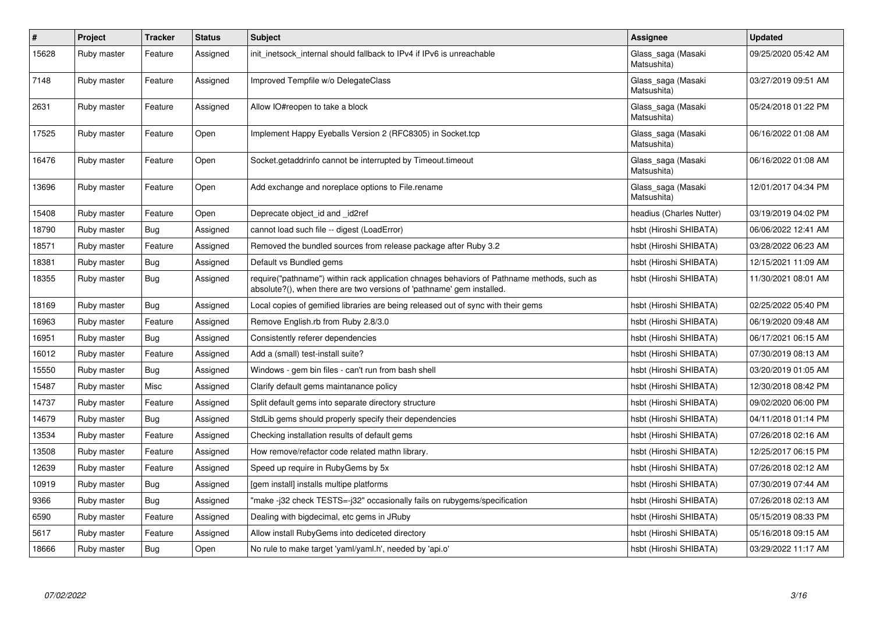| #     | Project     | <b>Tracker</b> | <b>Status</b> | <b>Subject</b>                                                                                                                                                      | Assignee                          | <b>Updated</b>      |
|-------|-------------|----------------|---------------|---------------------------------------------------------------------------------------------------------------------------------------------------------------------|-----------------------------------|---------------------|
| 15628 | Ruby master | Feature        | Assigned      | init inetsock internal should fallback to IPv4 if IPv6 is unreachable                                                                                               | Glass_saga (Masaki<br>Matsushita) | 09/25/2020 05:42 AM |
| 7148  | Ruby master | Feature        | Assigned      | Improved Tempfile w/o DelegateClass                                                                                                                                 | Glass_saga (Masaki<br>Matsushita) | 03/27/2019 09:51 AM |
| 2631  | Ruby master | Feature        | Assigned      | Allow IO#reopen to take a block                                                                                                                                     | Glass saga (Masaki<br>Matsushita) | 05/24/2018 01:22 PM |
| 17525 | Ruby master | Feature        | Open          | Implement Happy Eyeballs Version 2 (RFC8305) in Socket.tcp                                                                                                          | Glass_saga (Masaki<br>Matsushita) | 06/16/2022 01:08 AM |
| 16476 | Ruby master | Feature        | Open          | Socket getaddrinfo cannot be interrupted by Timeout timeout                                                                                                         | Glass_saga (Masaki<br>Matsushita) | 06/16/2022 01:08 AM |
| 13696 | Ruby master | Feature        | Open          | Add exchange and noreplace options to File.rename                                                                                                                   | Glass_saga (Masaki<br>Matsushita) | 12/01/2017 04:34 PM |
| 15408 | Ruby master | Feature        | Open          | Deprecate object id and id2ref                                                                                                                                      | headius (Charles Nutter)          | 03/19/2019 04:02 PM |
| 18790 | Ruby master | Bug            | Assigned      | cannot load such file -- digest (LoadError)                                                                                                                         | hsbt (Hiroshi SHIBATA)            | 06/06/2022 12:41 AM |
| 18571 | Ruby master | Feature        | Assigned      | Removed the bundled sources from release package after Ruby 3.2                                                                                                     | hsbt (Hiroshi SHIBATA)            | 03/28/2022 06:23 AM |
| 18381 | Ruby master | Bug            | Assigned      | Default vs Bundled gems                                                                                                                                             | hsbt (Hiroshi SHIBATA)            | 12/15/2021 11:09 AM |
| 18355 | Ruby master | <b>Bug</b>     | Assigned      | require("pathname") within rack application chnages behaviors of Pathname methods, such as<br>absolute?(), when there are two versions of 'pathname' gem installed. | hsbt (Hiroshi SHIBATA)            | 11/30/2021 08:01 AM |
| 18169 | Ruby master | <b>Bug</b>     | Assigned      | Local copies of gemified libraries are being released out of sync with their gems                                                                                   | hsbt (Hiroshi SHIBATA)            | 02/25/2022 05:40 PM |
| 16963 | Ruby master | Feature        | Assigned      | Remove English.rb from Ruby 2.8/3.0                                                                                                                                 | hsbt (Hiroshi SHIBATA)            | 06/19/2020 09:48 AM |
| 16951 | Ruby master | <b>Bug</b>     | Assigned      | Consistently referer dependencies                                                                                                                                   | hsbt (Hiroshi SHIBATA)            | 06/17/2021 06:15 AM |
| 16012 | Ruby master | Feature        | Assigned      | Add a (small) test-install suite?                                                                                                                                   | hsbt (Hiroshi SHIBATA)            | 07/30/2019 08:13 AM |
| 15550 | Ruby master | <b>Bug</b>     | Assigned      | Windows - gem bin files - can't run from bash shell                                                                                                                 | hsbt (Hiroshi SHIBATA)            | 03/20/2019 01:05 AM |
| 15487 | Ruby master | Misc           | Assigned      | Clarify default gems maintanance policy                                                                                                                             | hsbt (Hiroshi SHIBATA)            | 12/30/2018 08:42 PM |
| 14737 | Ruby master | Feature        | Assigned      | Split default gems into separate directory structure                                                                                                                | hsbt (Hiroshi SHIBATA)            | 09/02/2020 06:00 PM |
| 14679 | Ruby master | <b>Bug</b>     | Assigned      | StdLib gems should properly specify their dependencies                                                                                                              | hsbt (Hiroshi SHIBATA)            | 04/11/2018 01:14 PM |
| 13534 | Ruby master | Feature        | Assigned      | Checking installation results of default gems                                                                                                                       | hsbt (Hiroshi SHIBATA)            | 07/26/2018 02:16 AM |
| 13508 | Ruby master | Feature        | Assigned      | How remove/refactor code related mathn library.                                                                                                                     | hsbt (Hiroshi SHIBATA)            | 12/25/2017 06:15 PM |
| 12639 | Ruby master | Feature        | Assigned      | Speed up require in RubyGems by 5x                                                                                                                                  | hsbt (Hiroshi SHIBATA)            | 07/26/2018 02:12 AM |
| 10919 | Ruby master | Bug            | Assigned      | [gem install] installs multipe platforms                                                                                                                            | hsbt (Hiroshi SHIBATA)            | 07/30/2019 07:44 AM |
| 9366  | Ruby master | <b>Bug</b>     | Assigned      | "make -j32 check TESTS=-j32" occasionally fails on rubygems/specification                                                                                           | hsbt (Hiroshi SHIBATA)            | 07/26/2018 02:13 AM |
| 6590  | Ruby master | Feature        | Assigned      | Dealing with bigdecimal, etc gems in JRuby                                                                                                                          | hsbt (Hiroshi SHIBATA)            | 05/15/2019 08:33 PM |
| 5617  | Ruby master | Feature        | Assigned      | Allow install RubyGems into dediceted directory                                                                                                                     | hsbt (Hiroshi SHIBATA)            | 05/16/2018 09:15 AM |
| 18666 | Ruby master | <b>Bug</b>     | Open          | No rule to make target 'yaml/yaml.h', needed by 'api.o'                                                                                                             | hsbt (Hiroshi SHIBATA)            | 03/29/2022 11:17 AM |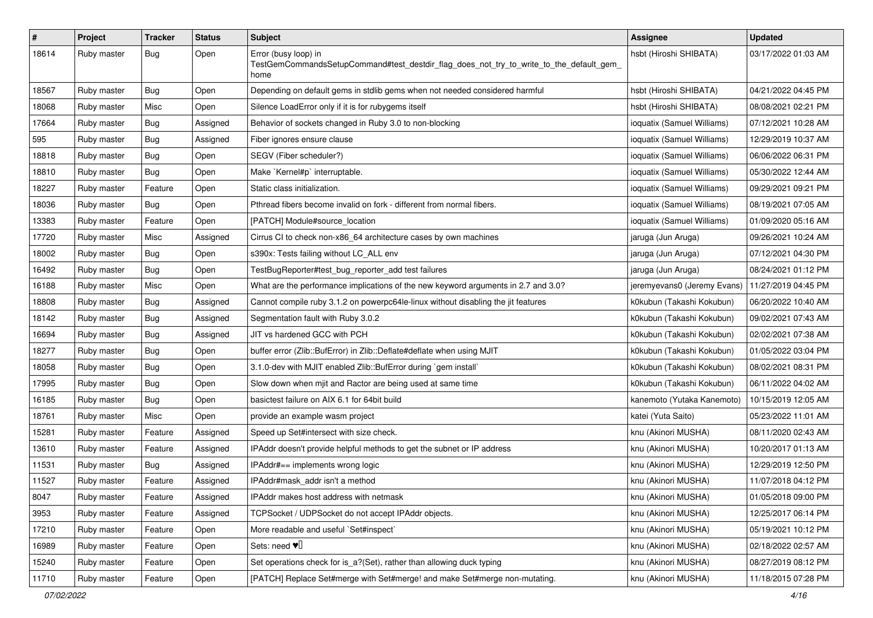| $\pmb{\#}$ | Project     | <b>Tracker</b> | <b>Status</b> | <b>Subject</b>                                                                                                          | <b>Assignee</b>             | <b>Updated</b>      |
|------------|-------------|----------------|---------------|-------------------------------------------------------------------------------------------------------------------------|-----------------------------|---------------------|
| 18614      | Ruby master | Bug            | Open          | Error (busy loop) in<br>TestGemCommandsSetupCommand#test_destdir_flag_does_not_try_to_write_to_the_default_gem_<br>home | hsbt (Hiroshi SHIBATA)      | 03/17/2022 01:03 AM |
| 18567      | Ruby master | <b>Bug</b>     | Open          | Depending on default gems in stdlib gems when not needed considered harmful                                             | hsbt (Hiroshi SHIBATA)      | 04/21/2022 04:45 PM |
| 18068      | Ruby master | Misc           | Open          | Silence LoadError only if it is for rubygems itself                                                                     | hsbt (Hiroshi SHIBATA)      | 08/08/2021 02:21 PM |
| 17664      | Ruby master | Bug            | Assigned      | Behavior of sockets changed in Ruby 3.0 to non-blocking                                                                 | ioquatix (Samuel Williams)  | 07/12/2021 10:28 AM |
| 595        | Ruby master | <b>Bug</b>     | Assigned      | Fiber ignores ensure clause                                                                                             | ioquatix (Samuel Williams)  | 12/29/2019 10:37 AM |
| 18818      | Ruby master | <b>Bug</b>     | Open          | SEGV (Fiber scheduler?)                                                                                                 | ioquatix (Samuel Williams)  | 06/06/2022 06:31 PM |
| 18810      | Ruby master | <b>Bug</b>     | Open          | Make `Kernel#p` interruptable.                                                                                          | ioquatix (Samuel Williams)  | 05/30/2022 12:44 AM |
| 18227      | Ruby master | Feature        | Open          | Static class initialization.                                                                                            | ioquatix (Samuel Williams)  | 09/29/2021 09:21 PM |
| 18036      | Ruby master | Bug            | Open          | Pthread fibers become invalid on fork - different from normal fibers.                                                   | ioquatix (Samuel Williams)  | 08/19/2021 07:05 AM |
| 13383      | Ruby master | Feature        | Open          | [PATCH] Module#source_location                                                                                          | ioquatix (Samuel Williams)  | 01/09/2020 05:16 AM |
| 17720      | Ruby master | Misc           | Assigned      | Cirrus CI to check non-x86_64 architecture cases by own machines                                                        | jaruga (Jun Aruga)          | 09/26/2021 10:24 AM |
| 18002      | Ruby master | <b>Bug</b>     | Open          | s390x: Tests failing without LC_ALL env                                                                                 | jaruga (Jun Aruga)          | 07/12/2021 04:30 PM |
| 16492      | Ruby master | <b>Bug</b>     | Open          | TestBugReporter#test_bug_reporter_add test failures                                                                     | jaruga (Jun Aruga)          | 08/24/2021 01:12 PM |
| 16188      | Ruby master | Misc           | Open          | What are the performance implications of the new keyword arguments in 2.7 and 3.0?                                      | jeremyevans0 (Jeremy Evans) | 11/27/2019 04:45 PM |
| 18808      | Ruby master | <b>Bug</b>     | Assigned      | Cannot compile ruby 3.1.2 on powerpc64le-linux without disabling the jit features                                       | k0kubun (Takashi Kokubun)   | 06/20/2022 10:40 AM |
| 18142      | Ruby master | Bug            | Assigned      | Segmentation fault with Ruby 3.0.2                                                                                      | k0kubun (Takashi Kokubun)   | 09/02/2021 07:43 AM |
| 16694      | Ruby master | <b>Bug</b>     | Assigned      | JIT vs hardened GCC with PCH                                                                                            | k0kubun (Takashi Kokubun)   | 02/02/2021 07:38 AM |
| 18277      | Ruby master | <b>Bug</b>     | Open          | buffer error (Zlib::BufError) in Zlib::Deflate#deflate when using MJIT                                                  | k0kubun (Takashi Kokubun)   | 01/05/2022 03:04 PM |
| 18058      | Ruby master | <b>Bug</b>     | Open          | 3.1.0-dev with MJIT enabled Zlib::BufError during `gem install`                                                         | k0kubun (Takashi Kokubun)   | 08/02/2021 08:31 PM |
| 17995      | Ruby master | <b>Bug</b>     | Open          | Slow down when mjit and Ractor are being used at same time                                                              | k0kubun (Takashi Kokubun)   | 06/11/2022 04:02 AM |
| 16185      | Ruby master | <b>Bug</b>     | Open          | basictest failure on AIX 6.1 for 64bit build                                                                            | kanemoto (Yutaka Kanemoto)  | 10/15/2019 12:05 AM |
| 18761      | Ruby master | Misc           | Open          | provide an example wasm project                                                                                         | katei (Yuta Saito)          | 05/23/2022 11:01 AM |
| 15281      | Ruby master | Feature        | Assigned      | Speed up Set#intersect with size check.                                                                                 | knu (Akinori MUSHA)         | 08/11/2020 02:43 AM |
| 13610      | Ruby master | Feature        | Assigned      | IPAddr doesn't provide helpful methods to get the subnet or IP address                                                  | knu (Akinori MUSHA)         | 10/20/2017 01:13 AM |
| 11531      | Ruby master | <b>Bug</b>     | Assigned      | IPAddr#== implements wrong logic                                                                                        | knu (Akinori MUSHA)         | 12/29/2019 12:50 PM |
| 11527      | Ruby master | Feature        | Assigned      | IPAddr#mask_addr isn't a method                                                                                         | knu (Akinori MUSHA)         | 11/07/2018 04:12 PM |
| 8047       | Ruby master | Feature        | Assigned      | IPAddr makes host address with netmask                                                                                  | knu (Akinori MUSHA)         | 01/05/2018 09:00 PM |
| 3953       | Ruby master | Feature        | Assigned      | TCPSocket / UDPSocket do not accept IPAddr objects.                                                                     | knu (Akinori MUSHA)         | 12/25/2017 06:14 PM |
| 17210      | Ruby master | Feature        | Open          | More readable and useful `Set#inspect`                                                                                  | knu (Akinori MUSHA)         | 05/19/2021 10:12 PM |
| 16989      | Ruby master | Feature        | Open          | Sets: need $\Psi$ <sup><math>\Box</math></sup>                                                                          | knu (Akinori MUSHA)         | 02/18/2022 02:57 AM |
| 15240      | Ruby master | Feature        | Open          | Set operations check for is_a?(Set), rather than allowing duck typing                                                   | knu (Akinori MUSHA)         | 08/27/2019 08:12 PM |
| 11710      | Ruby master | Feature        | Open          | [PATCH] Replace Set#merge with Set#merge! and make Set#merge non-mutating.                                              | knu (Akinori MUSHA)         | 11/18/2015 07:28 PM |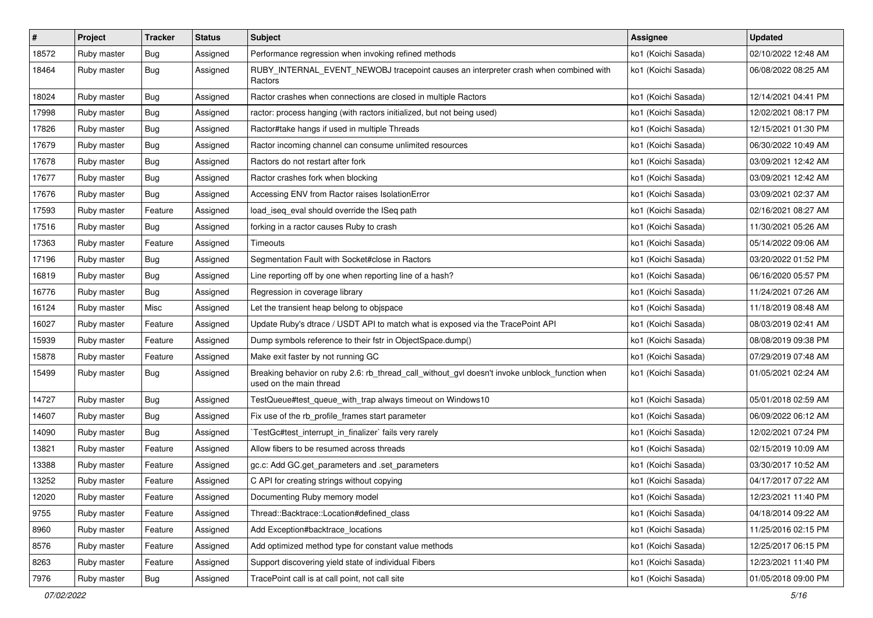| #     | Project     | <b>Tracker</b> | <b>Status</b> | Subject                                                                                                                   | Assignee            | <b>Updated</b>      |
|-------|-------------|----------------|---------------|---------------------------------------------------------------------------------------------------------------------------|---------------------|---------------------|
| 18572 | Ruby master | <b>Bug</b>     | Assigned      | Performance regression when invoking refined methods                                                                      | ko1 (Koichi Sasada) | 02/10/2022 12:48 AM |
| 18464 | Ruby master | <b>Bug</b>     | Assigned      | RUBY_INTERNAL_EVENT_NEWOBJ tracepoint causes an interpreter crash when combined with<br>Ractors                           | ko1 (Koichi Sasada) | 06/08/2022 08:25 AM |
| 18024 | Ruby master | <b>Bug</b>     | Assigned      | Ractor crashes when connections are closed in multiple Ractors                                                            | ko1 (Koichi Sasada) | 12/14/2021 04:41 PM |
| 17998 | Ruby master | Bug            | Assigned      | ractor: process hanging (with ractors initialized, but not being used)                                                    | ko1 (Koichi Sasada) | 12/02/2021 08:17 PM |
| 17826 | Ruby master | <b>Bug</b>     | Assigned      | Ractor#take hangs if used in multiple Threads                                                                             | ko1 (Koichi Sasada) | 12/15/2021 01:30 PM |
| 17679 | Ruby master | <b>Bug</b>     | Assigned      | Ractor incoming channel can consume unlimited resources                                                                   | ko1 (Koichi Sasada) | 06/30/2022 10:49 AM |
| 17678 | Ruby master | Bug            | Assigned      | Ractors do not restart after fork                                                                                         | ko1 (Koichi Sasada) | 03/09/2021 12:42 AM |
| 17677 | Ruby master | <b>Bug</b>     | Assigned      | Ractor crashes fork when blocking                                                                                         | ko1 (Koichi Sasada) | 03/09/2021 12:42 AM |
| 17676 | Ruby master | <b>Bug</b>     | Assigned      | Accessing ENV from Ractor raises IsolationError                                                                           | ko1 (Koichi Sasada) | 03/09/2021 02:37 AM |
| 17593 | Ruby master | Feature        | Assigned      | load_iseq_eval should override the ISeq path                                                                              | ko1 (Koichi Sasada) | 02/16/2021 08:27 AM |
| 17516 | Ruby master | <b>Bug</b>     | Assigned      | forking in a ractor causes Ruby to crash                                                                                  | ko1 (Koichi Sasada) | 11/30/2021 05:26 AM |
| 17363 | Ruby master | Feature        | Assigned      | Timeouts                                                                                                                  | ko1 (Koichi Sasada) | 05/14/2022 09:06 AM |
| 17196 | Ruby master | <b>Bug</b>     | Assigned      | Segmentation Fault with Socket#close in Ractors                                                                           | ko1 (Koichi Sasada) | 03/20/2022 01:52 PM |
| 16819 | Ruby master | Bug            | Assigned      | Line reporting off by one when reporting line of a hash?                                                                  | ko1 (Koichi Sasada) | 06/16/2020 05:57 PM |
| 16776 | Ruby master | <b>Bug</b>     | Assigned      | Regression in coverage library                                                                                            | ko1 (Koichi Sasada) | 11/24/2021 07:26 AM |
| 16124 | Ruby master | Misc           | Assigned      | Let the transient heap belong to objspace                                                                                 | ko1 (Koichi Sasada) | 11/18/2019 08:48 AM |
| 16027 | Ruby master | Feature        | Assigned      | Update Ruby's dtrace / USDT API to match what is exposed via the TracePoint API                                           | ko1 (Koichi Sasada) | 08/03/2019 02:41 AM |
| 15939 | Ruby master | Feature        | Assigned      | Dump symbols reference to their fstr in ObjectSpace.dump()                                                                | ko1 (Koichi Sasada) | 08/08/2019 09:38 PM |
| 15878 | Ruby master | Feature        | Assigned      | Make exit faster by not running GC                                                                                        | ko1 (Koichi Sasada) | 07/29/2019 07:48 AM |
| 15499 | Ruby master | Bug            | Assigned      | Breaking behavior on ruby 2.6: rb_thread_call_without_gvl doesn't invoke unblock_function when<br>used on the main thread | ko1 (Koichi Sasada) | 01/05/2021 02:24 AM |
| 14727 | Ruby master | Bug            | Assigned      | TestQueue#test_queue_with_trap always timeout on Windows10                                                                | ko1 (Koichi Sasada) | 05/01/2018 02:59 AM |
| 14607 | Ruby master | Bug            | Assigned      | Fix use of the rb_profile_frames start parameter                                                                          | ko1 (Koichi Sasada) | 06/09/2022 06:12 AM |
| 14090 | Ruby master | <b>Bug</b>     | Assigned      | TestGc#test_interrupt_in_finalizer` fails very rarely                                                                     | ko1 (Koichi Sasada) | 12/02/2021 07:24 PM |
| 13821 | Ruby master | Feature        | Assigned      | Allow fibers to be resumed across threads                                                                                 | ko1 (Koichi Sasada) | 02/15/2019 10:09 AM |
| 13388 | Ruby master | Feature        | Assigned      | gc.c: Add GC.get_parameters and .set_parameters                                                                           | ko1 (Koichi Sasada) | 03/30/2017 10:52 AM |
| 13252 | Ruby master | Feature        | Assigned      | C API for creating strings without copying                                                                                | ko1 (Koichi Sasada) | 04/17/2017 07:22 AM |
| 12020 | Ruby master | Feature        | Assigned      | Documenting Ruby memory model                                                                                             | ko1 (Koichi Sasada) | 12/23/2021 11:40 PM |
| 9755  | Ruby master | Feature        | Assigned      | Thread::Backtrace::Location#defined_class                                                                                 | ko1 (Koichi Sasada) | 04/18/2014 09:22 AM |
| 8960  | Ruby master | Feature        | Assigned      | Add Exception#backtrace_locations                                                                                         | ko1 (Koichi Sasada) | 11/25/2016 02:15 PM |
| 8576  | Ruby master | Feature        | Assigned      | Add optimized method type for constant value methods                                                                      | ko1 (Koichi Sasada) | 12/25/2017 06:15 PM |
| 8263  | Ruby master | Feature        | Assigned      | Support discovering yield state of individual Fibers                                                                      | ko1 (Koichi Sasada) | 12/23/2021 11:40 PM |
| 7976  | Ruby master | <b>Bug</b>     | Assigned      | TracePoint call is at call point, not call site                                                                           | ko1 (Koichi Sasada) | 01/05/2018 09:00 PM |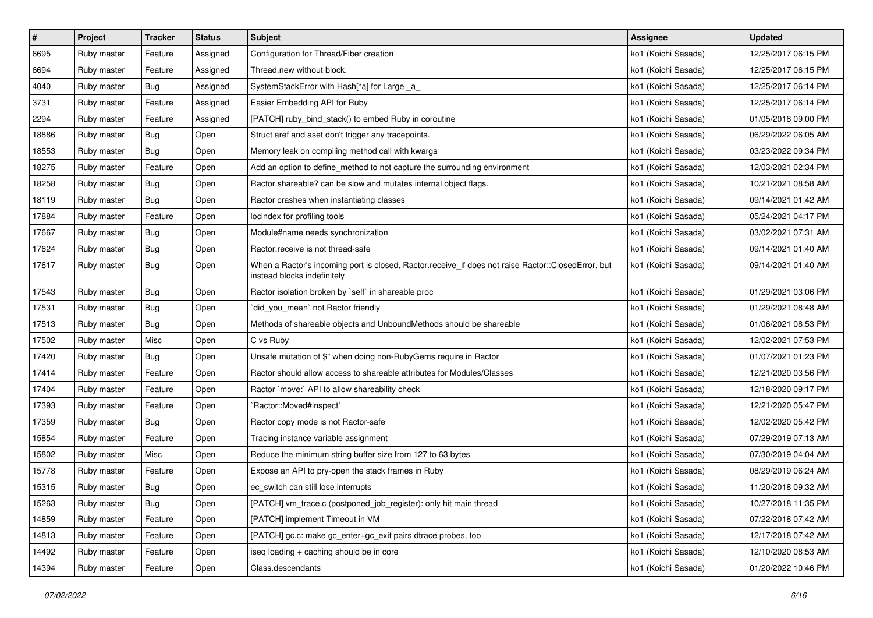| $\sharp$ | Project     | <b>Tracker</b> | <b>Status</b> | <b>Subject</b>                                                                                                                    | Assignee            | <b>Updated</b>      |
|----------|-------------|----------------|---------------|-----------------------------------------------------------------------------------------------------------------------------------|---------------------|---------------------|
| 6695     | Ruby master | Feature        | Assigned      | Configuration for Thread/Fiber creation                                                                                           | ko1 (Koichi Sasada) | 12/25/2017 06:15 PM |
| 6694     | Ruby master | Feature        | Assigned      | Thread.new without block.                                                                                                         | ko1 (Koichi Sasada) | 12/25/2017 06:15 PM |
| 4040     | Ruby master | Bug            | Assigned      | SystemStackError with Hash[*a] for Large _a_                                                                                      | ko1 (Koichi Sasada) | 12/25/2017 06:14 PM |
| 3731     | Ruby master | Feature        | Assigned      | Easier Embedding API for Ruby                                                                                                     | ko1 (Koichi Sasada) | 12/25/2017 06:14 PM |
| 2294     | Ruby master | Feature        | Assigned      | [PATCH] ruby_bind_stack() to embed Ruby in coroutine                                                                              | ko1 (Koichi Sasada) | 01/05/2018 09:00 PM |
| 18886    | Ruby master | <b>Bug</b>     | Open          | Struct aref and aset don't trigger any tracepoints.                                                                               | ko1 (Koichi Sasada) | 06/29/2022 06:05 AM |
| 18553    | Ruby master | <b>Bug</b>     | Open          | Memory leak on compiling method call with kwargs                                                                                  | ko1 (Koichi Sasada) | 03/23/2022 09:34 PM |
| 18275    | Ruby master | Feature        | Open          | Add an option to define_method to not capture the surrounding environment                                                         | ko1 (Koichi Sasada) | 12/03/2021 02:34 PM |
| 18258    | Ruby master | <b>Bug</b>     | Open          | Ractor.shareable? can be slow and mutates internal object flags.                                                                  | ko1 (Koichi Sasada) | 10/21/2021 08:58 AM |
| 18119    | Ruby master | <b>Bug</b>     | Open          | Ractor crashes when instantiating classes                                                                                         | ko1 (Koichi Sasada) | 09/14/2021 01:42 AM |
| 17884    | Ruby master | Feature        | Open          | locindex for profiling tools                                                                                                      | ko1 (Koichi Sasada) | 05/24/2021 04:17 PM |
| 17667    | Ruby master | Bug            | Open          | Module#name needs synchronization                                                                                                 | ko1 (Koichi Sasada) | 03/02/2021 07:31 AM |
| 17624    | Ruby master | Bug            | Open          | Ractor.receive is not thread-safe                                                                                                 | ko1 (Koichi Sasada) | 09/14/2021 01:40 AM |
| 17617    | Ruby master | <b>Bug</b>     | Open          | When a Ractor's incoming port is closed, Ractor.receive_if does not raise Ractor::ClosedError, but<br>instead blocks indefinitely | ko1 (Koichi Sasada) | 09/14/2021 01:40 AM |
| 17543    | Ruby master | Bug            | Open          | Ractor isolation broken by `self` in shareable proc                                                                               | ko1 (Koichi Sasada) | 01/29/2021 03:06 PM |
| 17531    | Ruby master | <b>Bug</b>     | Open          | did_you_mean' not Ractor friendly                                                                                                 | ko1 (Koichi Sasada) | 01/29/2021 08:48 AM |
| 17513    | Ruby master | Bug            | Open          | Methods of shareable objects and UnboundMethods should be shareable                                                               | ko1 (Koichi Sasada) | 01/06/2021 08:53 PM |
| 17502    | Ruby master | Misc           | Open          | C vs Ruby                                                                                                                         | ko1 (Koichi Sasada) | 12/02/2021 07:53 PM |
| 17420    | Ruby master | <b>Bug</b>     | Open          | Unsafe mutation of \$" when doing non-RubyGems require in Ractor                                                                  | ko1 (Koichi Sasada) | 01/07/2021 01:23 PM |
| 17414    | Ruby master | Feature        | Open          | Ractor should allow access to shareable attributes for Modules/Classes                                                            | ko1 (Koichi Sasada) | 12/21/2020 03:56 PM |
| 17404    | Ruby master | Feature        | Open          | Ractor `move:` API to allow shareability check                                                                                    | ko1 (Koichi Sasada) | 12/18/2020 09:17 PM |
| 17393    | Ruby master | Feature        | Open          | `Ractor::Moved#inspect`                                                                                                           | ko1 (Koichi Sasada) | 12/21/2020 05:47 PM |
| 17359    | Ruby master | Bug            | Open          | Ractor copy mode is not Ractor-safe                                                                                               | ko1 (Koichi Sasada) | 12/02/2020 05:42 PM |
| 15854    | Ruby master | Feature        | Open          | Tracing instance variable assignment                                                                                              | ko1 (Koichi Sasada) | 07/29/2019 07:13 AM |
| 15802    | Ruby master | Misc           | Open          | Reduce the minimum string buffer size from 127 to 63 bytes                                                                        | ko1 (Koichi Sasada) | 07/30/2019 04:04 AM |
| 15778    | Ruby master | Feature        | Open          | Expose an API to pry-open the stack frames in Ruby                                                                                | ko1 (Koichi Sasada) | 08/29/2019 06:24 AM |
| 15315    | Ruby master | <b>Bug</b>     | Open          | ec_switch can still lose interrupts                                                                                               | ko1 (Koichi Sasada) | 11/20/2018 09:32 AM |
| 15263    | Ruby master | <b>Bug</b>     | Open          | [PATCH] vm_trace.c (postponed_job_register): only hit main thread                                                                 | ko1 (Koichi Sasada) | 10/27/2018 11:35 PM |
| 14859    | Ruby master | Feature        | Open          | [PATCH] implement Timeout in VM                                                                                                   | ko1 (Koichi Sasada) | 07/22/2018 07:42 AM |
| 14813    | Ruby master | Feature        | Open          | [PATCH] gc.c: make gc_enter+gc_exit pairs dtrace probes, too                                                                      | ko1 (Koichi Sasada) | 12/17/2018 07:42 AM |
| 14492    | Ruby master | Feature        | Open          | iseg loading + caching should be in core                                                                                          | ko1 (Koichi Sasada) | 12/10/2020 08:53 AM |
| 14394    | Ruby master | Feature        | Open          | Class.descendants                                                                                                                 | ko1 (Koichi Sasada) | 01/20/2022 10:46 PM |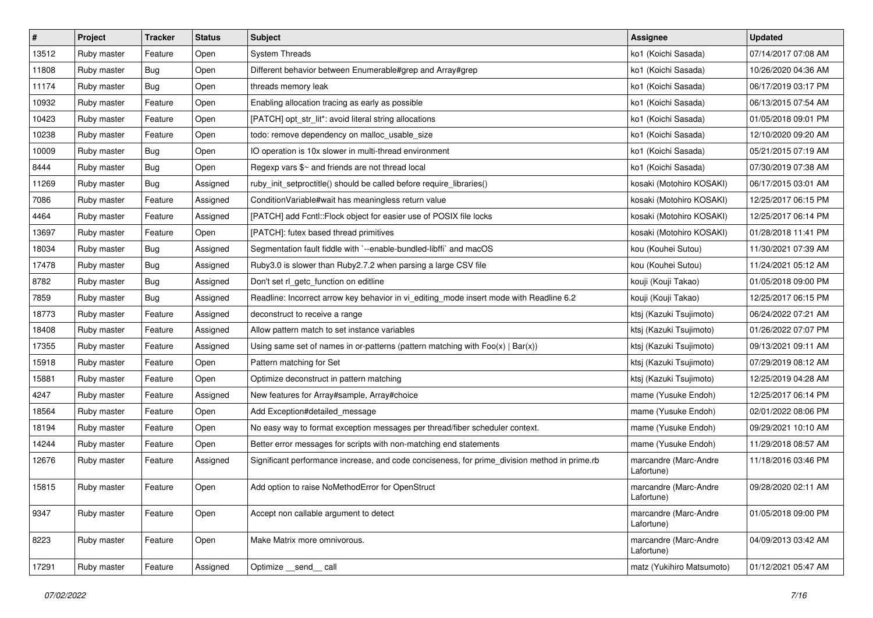| $\vert$ # | Project     | <b>Tracker</b> | <b>Status</b> | <b>Subject</b>                                                                                | <b>Assignee</b>                     | <b>Updated</b>      |
|-----------|-------------|----------------|---------------|-----------------------------------------------------------------------------------------------|-------------------------------------|---------------------|
| 13512     | Ruby master | Feature        | Open          | <b>System Threads</b>                                                                         | ko1 (Koichi Sasada)                 | 07/14/2017 07:08 AM |
| 11808     | Ruby master | <b>Bug</b>     | Open          | Different behavior between Enumerable#grep and Array#grep                                     | ko1 (Koichi Sasada)                 | 10/26/2020 04:36 AM |
| 11174     | Ruby master | <b>Bug</b>     | Open          | threads memory leak                                                                           | ko1 (Koichi Sasada)                 | 06/17/2019 03:17 PM |
| 10932     | Ruby master | Feature        | Open          | Enabling allocation tracing as early as possible                                              | ko1 (Koichi Sasada)                 | 06/13/2015 07:54 AM |
| 10423     | Ruby master | Feature        | Open          | [PATCH] opt_str_lit*: avoid literal string allocations                                        | ko1 (Koichi Sasada)                 | 01/05/2018 09:01 PM |
| 10238     | Ruby master | Feature        | Open          | todo: remove dependency on malloc_usable_size                                                 | ko1 (Koichi Sasada)                 | 12/10/2020 09:20 AM |
| 10009     | Ruby master | Bug            | Open          | IO operation is 10x slower in multi-thread environment                                        | ko1 (Koichi Sasada)                 | 05/21/2015 07:19 AM |
| 8444      | Ruby master | <b>Bug</b>     | Open          | Regexp vars \$~ and friends are not thread local                                              | ko1 (Koichi Sasada)                 | 07/30/2019 07:38 AM |
| 11269     | Ruby master | Bug            | Assigned      | ruby_init_setproctitle() should be called before require_libraries()                          | kosaki (Motohiro KOSAKI)            | 06/17/2015 03:01 AM |
| 7086      | Ruby master | Feature        | Assigned      | ConditionVariable#wait has meaningless return value                                           | kosaki (Motohiro KOSAKI)            | 12/25/2017 06:15 PM |
| 4464      | Ruby master | Feature        | Assigned      | [PATCH] add Fcntl::Flock object for easier use of POSIX file locks                            | kosaki (Motohiro KOSAKI)            | 12/25/2017 06:14 PM |
| 13697     | Ruby master | Feature        | Open          | [PATCH]: futex based thread primitives                                                        | kosaki (Motohiro KOSAKI)            | 01/28/2018 11:41 PM |
| 18034     | Ruby master | <b>Bug</b>     | Assigned      | Segmentation fault fiddle with `--enable-bundled-libffi` and macOS                            | kou (Kouhei Sutou)                  | 11/30/2021 07:39 AM |
| 17478     | Ruby master | Bug            | Assigned      | Ruby3.0 is slower than Ruby2.7.2 when parsing a large CSV file                                | kou (Kouhei Sutou)                  | 11/24/2021 05:12 AM |
| 8782      | Ruby master | Bug            | Assigned      | Don't set rl_getc_function on editline                                                        | kouji (Kouji Takao)                 | 01/05/2018 09:00 PM |
| 7859      | Ruby master | Bug            | Assigned      | Readline: Incorrect arrow key behavior in vi_editing_mode insert mode with Readline 6.2       | kouji (Kouji Takao)                 | 12/25/2017 06:15 PM |
| 18773     | Ruby master | Feature        | Assigned      | deconstruct to receive a range                                                                | ktsj (Kazuki Tsujimoto)             | 06/24/2022 07:21 AM |
| 18408     | Ruby master | Feature        | Assigned      | Allow pattern match to set instance variables                                                 | ktsj (Kazuki Tsujimoto)             | 01/26/2022 07:07 PM |
| 17355     | Ruby master | Feature        | Assigned      | Using same set of names in or-patterns (pattern matching with $Foo(x)   Bar(x)$ )             | ktsj (Kazuki Tsujimoto)             | 09/13/2021 09:11 AM |
| 15918     | Ruby master | Feature        | Open          | Pattern matching for Set                                                                      | ktsj (Kazuki Tsujimoto)             | 07/29/2019 08:12 AM |
| 15881     | Ruby master | Feature        | Open          | Optimize deconstruct in pattern matching                                                      | ktsj (Kazuki Tsujimoto)             | 12/25/2019 04:28 AM |
| 4247      | Ruby master | Feature        | Assigned      | New features for Array#sample, Array#choice                                                   | mame (Yusuke Endoh)                 | 12/25/2017 06:14 PM |
| 18564     | Ruby master | Feature        | Open          | Add Exception#detailed_message                                                                | mame (Yusuke Endoh)                 | 02/01/2022 08:06 PM |
| 18194     | Ruby master | Feature        | Open          | No easy way to format exception messages per thread/fiber scheduler context.                  | mame (Yusuke Endoh)                 | 09/29/2021 10:10 AM |
| 14244     | Ruby master | Feature        | Open          | Better error messages for scripts with non-matching end statements                            | mame (Yusuke Endoh)                 | 11/29/2018 08:57 AM |
| 12676     | Ruby master | Feature        | Assigned      | Significant performance increase, and code conciseness, for prime_division method in prime.rb | marcandre (Marc-Andre<br>Lafortune) | 11/18/2016 03:46 PM |
| 15815     | Ruby master | Feature        | Open          | Add option to raise NoMethodError for OpenStruct                                              | marcandre (Marc-Andre<br>Lafortune) | 09/28/2020 02:11 AM |
| 9347      | Ruby master | Feature        | Open          | Accept non callable argument to detect                                                        | marcandre (Marc-Andre<br>Lafortune) | 01/05/2018 09:00 PM |
| 8223      | Ruby master | Feature        | Open          | Make Matrix more omnivorous.                                                                  | marcandre (Marc-Andre<br>Lafortune) | 04/09/2013 03:42 AM |
| 17291     | Ruby master | Feature        | Assigned      | Optimize __send__ call                                                                        | matz (Yukihiro Matsumoto)           | 01/12/2021 05:47 AM |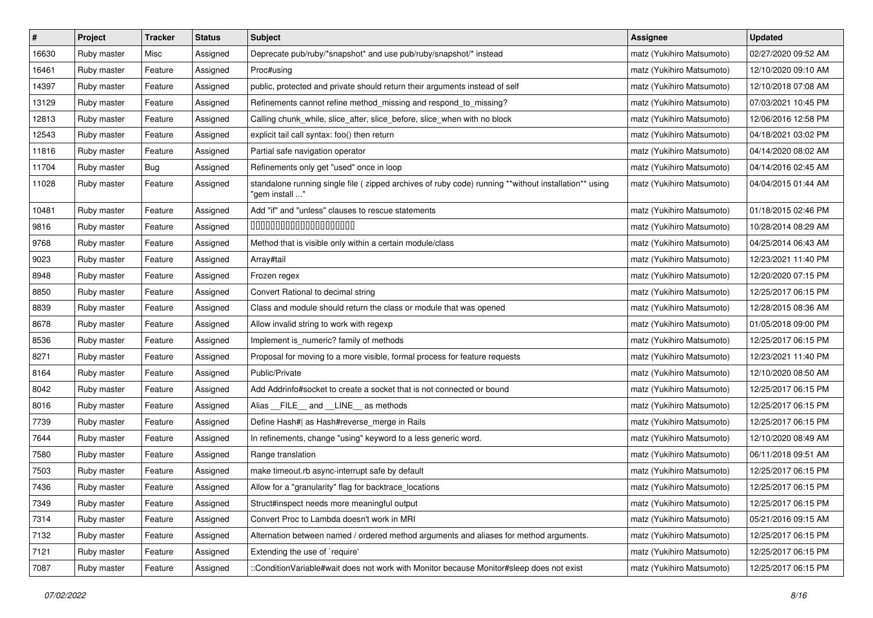| $\pmb{\#}$ | Project     | <b>Tracker</b> | <b>Status</b> | <b>Subject</b>                                                                                                          | <b>Assignee</b>           | <b>Updated</b>      |
|------------|-------------|----------------|---------------|-------------------------------------------------------------------------------------------------------------------------|---------------------------|---------------------|
| 16630      | Ruby master | Misc           | Assigned      | Deprecate pub/ruby/*snapshot* and use pub/ruby/snapshot/* instead                                                       | matz (Yukihiro Matsumoto) | 02/27/2020 09:52 AM |
| 16461      | Ruby master | Feature        | Assigned      | Proc#using                                                                                                              | matz (Yukihiro Matsumoto) | 12/10/2020 09:10 AM |
| 14397      | Ruby master | Feature        | Assigned      | public, protected and private should return their arguments instead of self                                             | matz (Yukihiro Matsumoto) | 12/10/2018 07:08 AM |
| 13129      | Ruby master | Feature        | Assigned      | Refinements cannot refine method_missing and respond_to_missing?                                                        | matz (Yukihiro Matsumoto) | 07/03/2021 10:45 PM |
| 12813      | Ruby master | Feature        | Assigned      | Calling chunk_while, slice_after, slice_before, slice_when with no block                                                | matz (Yukihiro Matsumoto) | 12/06/2016 12:58 PM |
| 12543      | Ruby master | Feature        | Assigned      | explicit tail call syntax: foo() then return                                                                            | matz (Yukihiro Matsumoto) | 04/18/2021 03:02 PM |
| 11816      | Ruby master | Feature        | Assigned      | Partial safe navigation operator                                                                                        | matz (Yukihiro Matsumoto) | 04/14/2020 08:02 AM |
| 11704      | Ruby master | Bug            | Assigned      | Refinements only get "used" once in loop                                                                                | matz (Yukihiro Matsumoto) | 04/14/2016 02:45 AM |
| 11028      | Ruby master | Feature        | Assigned      | standalone running single file ( zipped archives of ruby code) running **without installation** using<br>" gem install" | matz (Yukihiro Matsumoto) | 04/04/2015 01:44 AM |
| 10481      | Ruby master | Feature        | Assigned      | Add "if" and "unless" clauses to rescue statements                                                                      | matz (Yukihiro Matsumoto) | 01/18/2015 02:46 PM |
| 9816       | Ruby master | Feature        | Assigned      | 00000000000000000000                                                                                                    | matz (Yukihiro Matsumoto) | 10/28/2014 08:29 AM |
| 9768       | Ruby master | Feature        | Assigned      | Method that is visible only within a certain module/class                                                               | matz (Yukihiro Matsumoto) | 04/25/2014 06:43 AM |
| 9023       | Ruby master | Feature        | Assigned      | Array#tail                                                                                                              | matz (Yukihiro Matsumoto) | 12/23/2021 11:40 PM |
| 8948       | Ruby master | Feature        | Assigned      | Frozen regex                                                                                                            | matz (Yukihiro Matsumoto) | 12/20/2020 07:15 PM |
| 8850       | Ruby master | Feature        | Assigned      | Convert Rational to decimal string                                                                                      | matz (Yukihiro Matsumoto) | 12/25/2017 06:15 PM |
| 8839       | Ruby master | Feature        | Assigned      | Class and module should return the class or module that was opened                                                      | matz (Yukihiro Matsumoto) | 12/28/2015 08:36 AM |
| 8678       | Ruby master | Feature        | Assigned      | Allow invalid string to work with regexp                                                                                | matz (Yukihiro Matsumoto) | 01/05/2018 09:00 PM |
| 8536       | Ruby master | Feature        | Assigned      | Implement is_numeric? family of methods                                                                                 | matz (Yukihiro Matsumoto) | 12/25/2017 06:15 PM |
| 8271       | Ruby master | Feature        | Assigned      | Proposal for moving to a more visible, formal process for feature requests                                              | matz (Yukihiro Matsumoto) | 12/23/2021 11:40 PM |
| 8164       | Ruby master | Feature        | Assigned      | Public/Private                                                                                                          | matz (Yukihiro Matsumoto) | 12/10/2020 08:50 AM |
| 8042       | Ruby master | Feature        | Assigned      | Add Addrinfo#socket to create a socket that is not connected or bound                                                   | matz (Yukihiro Matsumoto) | 12/25/2017 06:15 PM |
| 8016       | Ruby master | Feature        | Assigned      | Alias FILE and LINE as methods                                                                                          | matz (Yukihiro Matsumoto) | 12/25/2017 06:15 PM |
| 7739       | Ruby master | Feature        | Assigned      | Define Hash#  as Hash#reverse merge in Rails                                                                            | matz (Yukihiro Matsumoto) | 12/25/2017 06:15 PM |
| 7644       | Ruby master | Feature        | Assigned      | In refinements, change "using" keyword to a less generic word.                                                          | matz (Yukihiro Matsumoto) | 12/10/2020 08:49 AM |
| 7580       | Ruby master | Feature        | Assigned      | Range translation                                                                                                       | matz (Yukihiro Matsumoto) | 06/11/2018 09:51 AM |
| 7503       | Ruby master | Feature        | Assigned      | make timeout.rb async-interrupt safe by default                                                                         | matz (Yukihiro Matsumoto) | 12/25/2017 06:15 PM |
| 7436       | Ruby master | Feature        | Assigned      | Allow for a "granularity" flag for backtrace_locations                                                                  | matz (Yukihiro Matsumoto) | 12/25/2017 06:15 PM |
| 7349       | Ruby master | Feature        | Assigned      | Struct#inspect needs more meaningful output                                                                             | matz (Yukihiro Matsumoto) | 12/25/2017 06:15 PM |
| 7314       | Ruby master | Feature        | Assigned      | Convert Proc to Lambda doesn't work in MRI                                                                              | matz (Yukihiro Matsumoto) | 05/21/2016 09:15 AM |
| 7132       | Ruby master | Feature        | Assigned      | Alternation between named / ordered method arguments and aliases for method arguments.                                  | matz (Yukihiro Matsumoto) | 12/25/2017 06:15 PM |
| 7121       | Ruby master | Feature        | Assigned      | Extending the use of `require'                                                                                          | matz (Yukihiro Matsumoto) | 12/25/2017 06:15 PM |
| 7087       | Ruby master | Feature        | Assigned      | ::ConditionVariable#wait does not work with Monitor because Monitor#sleep does not exist                                | matz (Yukihiro Matsumoto) | 12/25/2017 06:15 PM |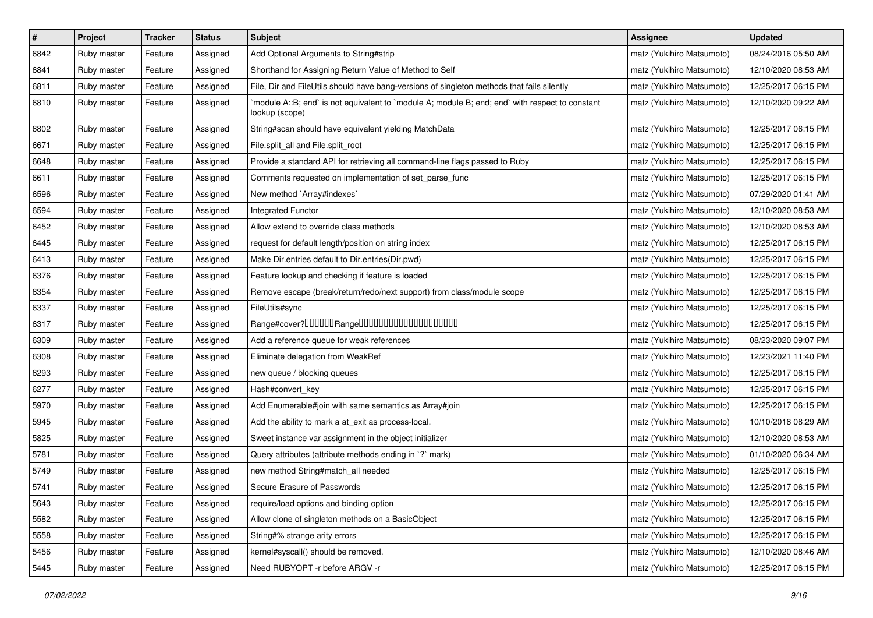| $\pmb{\#}$ | Project     | <b>Tracker</b> | <b>Status</b> | Subject                                                                                                          | <b>Assignee</b>           | <b>Updated</b>      |
|------------|-------------|----------------|---------------|------------------------------------------------------------------------------------------------------------------|---------------------------|---------------------|
| 6842       | Ruby master | Feature        | Assigned      | Add Optional Arguments to String#strip                                                                           | matz (Yukihiro Matsumoto) | 08/24/2016 05:50 AM |
| 6841       | Ruby master | Feature        | Assigned      | Shorthand for Assigning Return Value of Method to Self                                                           | matz (Yukihiro Matsumoto) | 12/10/2020 08:53 AM |
| 6811       | Ruby master | Feature        | Assigned      | File, Dir and FileUtils should have bang-versions of singleton methods that fails silently                       | matz (Yukihiro Matsumoto) | 12/25/2017 06:15 PM |
| 6810       | Ruby master | Feature        | Assigned      | module A::B; end` is not equivalent to `module A; module B; end; end` with respect to constant<br>lookup (scope) | matz (Yukihiro Matsumoto) | 12/10/2020 09:22 AM |
| 6802       | Ruby master | Feature        | Assigned      | String#scan should have equivalent yielding MatchData                                                            | matz (Yukihiro Matsumoto) | 12/25/2017 06:15 PM |
| 6671       | Ruby master | Feature        | Assigned      | File.split_all and File.split_root                                                                               | matz (Yukihiro Matsumoto) | 12/25/2017 06:15 PM |
| 6648       | Ruby master | Feature        | Assigned      | Provide a standard API for retrieving all command-line flags passed to Ruby                                      | matz (Yukihiro Matsumoto) | 12/25/2017 06:15 PM |
| 6611       | Ruby master | Feature        | Assigned      | Comments requested on implementation of set_parse_func                                                           | matz (Yukihiro Matsumoto) | 12/25/2017 06:15 PM |
| 6596       | Ruby master | Feature        | Assigned      | New method `Array#indexes`                                                                                       | matz (Yukihiro Matsumoto) | 07/29/2020 01:41 AM |
| 6594       | Ruby master | Feature        | Assigned      | Integrated Functor                                                                                               | matz (Yukihiro Matsumoto) | 12/10/2020 08:53 AM |
| 6452       | Ruby master | Feature        | Assigned      | Allow extend to override class methods                                                                           | matz (Yukihiro Matsumoto) | 12/10/2020 08:53 AM |
| 6445       | Ruby master | Feature        | Assigned      | request for default length/position on string index                                                              | matz (Yukihiro Matsumoto) | 12/25/2017 06:15 PM |
| 6413       | Ruby master | Feature        | Assigned      | Make Dir.entries default to Dir.entries(Dir.pwd)                                                                 | matz (Yukihiro Matsumoto) | 12/25/2017 06:15 PM |
| 6376       | Ruby master | Feature        | Assigned      | Feature lookup and checking if feature is loaded                                                                 | matz (Yukihiro Matsumoto) | 12/25/2017 06:15 PM |
| 6354       | Ruby master | Feature        | Assigned      | Remove escape (break/return/redo/next support) from class/module scope                                           | matz (Yukihiro Matsumoto) | 12/25/2017 06:15 PM |
| 6337       | Ruby master | Feature        | Assigned      | FileUtils#sync                                                                                                   | matz (Yukihiro Matsumoto) | 12/25/2017 06:15 PM |
| 6317       | Ruby master | Feature        | Assigned      |                                                                                                                  | matz (Yukihiro Matsumoto) | 12/25/2017 06:15 PM |
| 6309       | Ruby master | Feature        | Assigned      | Add a reference queue for weak references                                                                        | matz (Yukihiro Matsumoto) | 08/23/2020 09:07 PM |
| 6308       | Ruby master | Feature        | Assigned      | Eliminate delegation from WeakRef                                                                                | matz (Yukihiro Matsumoto) | 12/23/2021 11:40 PM |
| 6293       | Ruby master | Feature        | Assigned      | new queue / blocking queues                                                                                      | matz (Yukihiro Matsumoto) | 12/25/2017 06:15 PM |
| 6277       | Ruby master | Feature        | Assigned      | Hash#convert key                                                                                                 | matz (Yukihiro Matsumoto) | 12/25/2017 06:15 PM |
| 5970       | Ruby master | Feature        | Assigned      | Add Enumerable#join with same semantics as Array#join                                                            | matz (Yukihiro Matsumoto) | 12/25/2017 06:15 PM |
| 5945       | Ruby master | Feature        | Assigned      | Add the ability to mark a at_exit as process-local.                                                              | matz (Yukihiro Matsumoto) | 10/10/2018 08:29 AM |
| 5825       | Ruby master | Feature        | Assigned      | Sweet instance var assignment in the object initializer                                                          | matz (Yukihiro Matsumoto) | 12/10/2020 08:53 AM |
| 5781       | Ruby master | Feature        | Assigned      | Query attributes (attribute methods ending in `?` mark)                                                          | matz (Yukihiro Matsumoto) | 01/10/2020 06:34 AM |
| 5749       | Ruby master | Feature        | Assigned      | new method String#match_all needed                                                                               | matz (Yukihiro Matsumoto) | 12/25/2017 06:15 PM |
| 5741       | Ruby master | Feature        | Assigned      | Secure Erasure of Passwords                                                                                      | matz (Yukihiro Matsumoto) | 12/25/2017 06:15 PM |
| 5643       | Ruby master | Feature        | Assigned      | require/load options and binding option                                                                          | matz (Yukihiro Matsumoto) | 12/25/2017 06:15 PM |
| 5582       | Ruby master | Feature        | Assigned      | Allow clone of singleton methods on a BasicObject                                                                | matz (Yukihiro Matsumoto) | 12/25/2017 06:15 PM |
| 5558       | Ruby master | Feature        | Assigned      | String#% strange arity errors                                                                                    | matz (Yukihiro Matsumoto) | 12/25/2017 06:15 PM |
| 5456       | Ruby master | Feature        | Assigned      | kernel#syscall() should be removed.                                                                              | matz (Yukihiro Matsumoto) | 12/10/2020 08:46 AM |
| 5445       | Ruby master | Feature        | Assigned      | Need RUBYOPT - r before ARGV - r                                                                                 | matz (Yukihiro Matsumoto) | 12/25/2017 06:15 PM |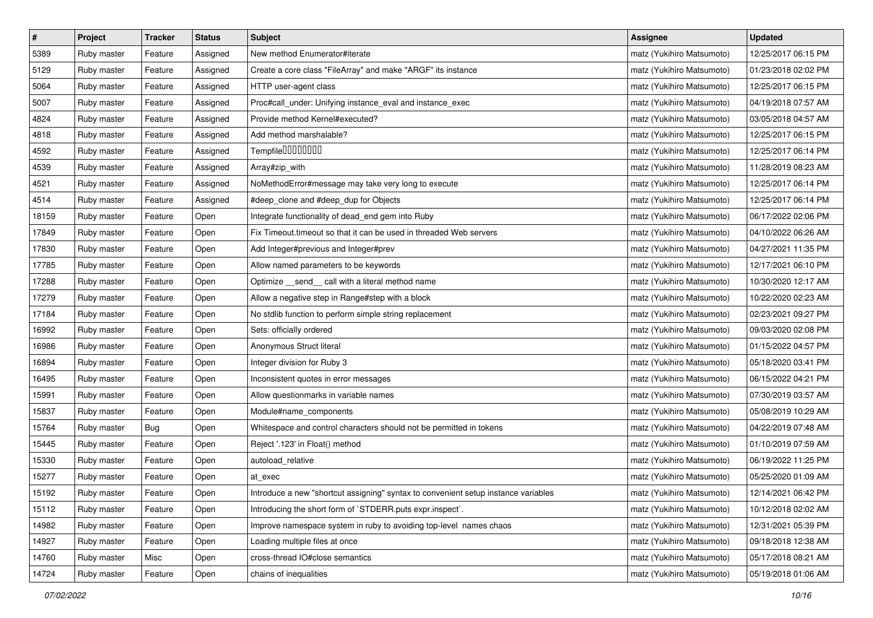| $\pmb{\#}$ | Project     | <b>Tracker</b> | <b>Status</b> | <b>Subject</b>                                                                     | <b>Assignee</b>           | <b>Updated</b>      |
|------------|-------------|----------------|---------------|------------------------------------------------------------------------------------|---------------------------|---------------------|
| 5389       | Ruby master | Feature        | Assigned      | New method Enumerator#iterate                                                      | matz (Yukihiro Matsumoto) | 12/25/2017 06:15 PM |
| 5129       | Ruby master | Feature        | Assigned      | Create a core class "FileArray" and make "ARGF" its instance                       | matz (Yukihiro Matsumoto) | 01/23/2018 02:02 PM |
| 5064       | Ruby master | Feature        | Assigned      | HTTP user-agent class                                                              | matz (Yukihiro Matsumoto) | 12/25/2017 06:15 PM |
| 5007       | Ruby master | Feature        | Assigned      | Proc#call_under: Unifying instance_eval and instance_exec                          | matz (Yukihiro Matsumoto) | 04/19/2018 07:57 AM |
| 4824       | Ruby master | Feature        | Assigned      | Provide method Kernel#executed?                                                    | matz (Yukihiro Matsumoto) | 03/05/2018 04:57 AM |
| 4818       | Ruby master | Feature        | Assigned      | Add method marshalable?                                                            | matz (Yukihiro Matsumoto) | 12/25/2017 06:15 PM |
| 4592       | Ruby master | Feature        | Assigned      | Tempfile0000000                                                                    | matz (Yukihiro Matsumoto) | 12/25/2017 06:14 PM |
| 4539       | Ruby master | Feature        | Assigned      | Array#zip_with                                                                     | matz (Yukihiro Matsumoto) | 11/28/2019 08:23 AM |
| 4521       | Ruby master | Feature        | Assigned      | NoMethodError#message may take very long to execute                                | matz (Yukihiro Matsumoto) | 12/25/2017 06:14 PM |
| 4514       | Ruby master | Feature        | Assigned      | #deep_clone and #deep_dup for Objects                                              | matz (Yukihiro Matsumoto) | 12/25/2017 06:14 PM |
| 18159      | Ruby master | Feature        | Open          | Integrate functionality of dead_end gem into Ruby                                  | matz (Yukihiro Matsumoto) | 06/17/2022 02:06 PM |
| 17849      | Ruby master | Feature        | Open          | Fix Timeout timeout so that it can be used in threaded Web servers                 | matz (Yukihiro Matsumoto) | 04/10/2022 06:26 AM |
| 17830      | Ruby master | Feature        | Open          | Add Integer#previous and Integer#prev                                              | matz (Yukihiro Matsumoto) | 04/27/2021 11:35 PM |
| 17785      | Ruby master | Feature        | Open          | Allow named parameters to be keywords                                              | matz (Yukihiro Matsumoto) | 12/17/2021 06:10 PM |
| 17288      | Ruby master | Feature        | Open          | Optimize __send__ call with a literal method name                                  | matz (Yukihiro Matsumoto) | 10/30/2020 12:17 AM |
| 17279      | Ruby master | Feature        | Open          | Allow a negative step in Range#step with a block                                   | matz (Yukihiro Matsumoto) | 10/22/2020 02:23 AM |
| 17184      | Ruby master | Feature        | Open          | No stdlib function to perform simple string replacement                            | matz (Yukihiro Matsumoto) | 02/23/2021 09:27 PM |
| 16992      | Ruby master | Feature        | Open          | Sets: officially ordered                                                           | matz (Yukihiro Matsumoto) | 09/03/2020 02:08 PM |
| 16986      | Ruby master | Feature        | Open          | Anonymous Struct literal                                                           | matz (Yukihiro Matsumoto) | 01/15/2022 04:57 PM |
| 16894      | Ruby master | Feature        | Open          | Integer division for Ruby 3                                                        | matz (Yukihiro Matsumoto) | 05/18/2020 03:41 PM |
| 16495      | Ruby master | Feature        | Open          | Inconsistent quotes in error messages                                              | matz (Yukihiro Matsumoto) | 06/15/2022 04:21 PM |
| 15991      | Ruby master | Feature        | Open          | Allow questionmarks in variable names                                              | matz (Yukihiro Matsumoto) | 07/30/2019 03:57 AM |
| 15837      | Ruby master | Feature        | Open          | Module#name_components                                                             | matz (Yukihiro Matsumoto) | 05/08/2019 10:29 AM |
| 15764      | Ruby master | <b>Bug</b>     | Open          | Whitespace and control characters should not be permitted in tokens                | matz (Yukihiro Matsumoto) | 04/22/2019 07:48 AM |
| 15445      | Ruby master | Feature        | Open          | Reject '.123' in Float() method                                                    | matz (Yukihiro Matsumoto) | 01/10/2019 07:59 AM |
| 15330      | Ruby master | Feature        | Open          | autoload_relative                                                                  | matz (Yukihiro Matsumoto) | 06/19/2022 11:25 PM |
| 15277      | Ruby master | Feature        | Open          | at exec                                                                            | matz (Yukihiro Matsumoto) | 05/25/2020 01:09 AM |
| 15192      | Ruby master | Feature        | Open          | Introduce a new "shortcut assigning" syntax to convenient setup instance variables | matz (Yukihiro Matsumoto) | 12/14/2021 06:42 PM |
| 15112      | Ruby master | Feature        | Open          | Introducing the short form of `STDERR.puts expr.inspect`.                          | matz (Yukihiro Matsumoto) | 10/12/2018 02:02 AM |
| 14982      | Ruby master | Feature        | Open          | Improve namespace system in ruby to avoiding top-level names chaos                 | matz (Yukihiro Matsumoto) | 12/31/2021 05:39 PM |
| 14927      | Ruby master | Feature        | Open          | Loading multiple files at once                                                     | matz (Yukihiro Matsumoto) | 09/18/2018 12:38 AM |
| 14760      | Ruby master | Misc           | Open          | cross-thread IO#close semantics                                                    | matz (Yukihiro Matsumoto) | 05/17/2018 08:21 AM |
| 14724      | Ruby master | Feature        | Open          | chains of inequalities                                                             | matz (Yukihiro Matsumoto) | 05/19/2018 01:06 AM |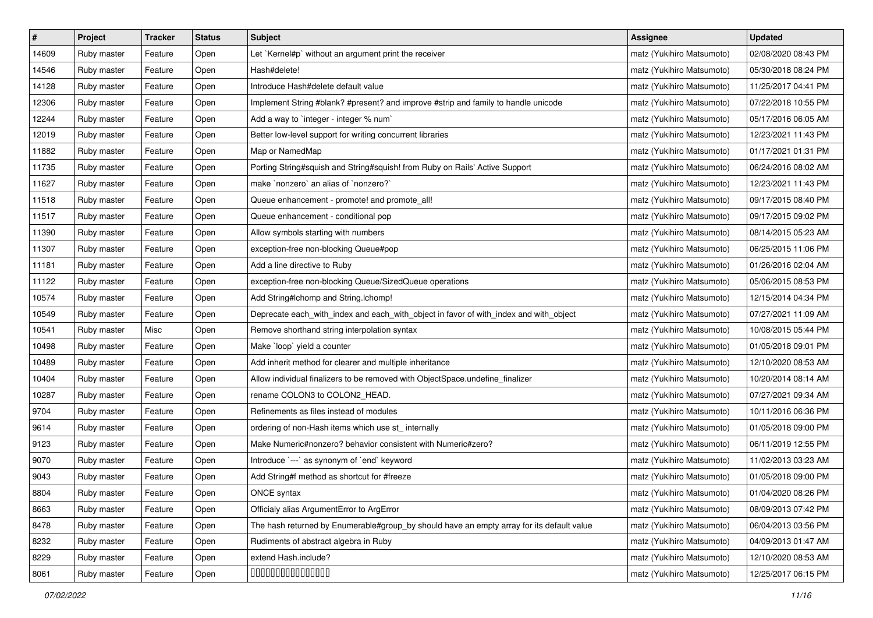| $\vert$ # | Project     | Tracker | <b>Status</b> | <b>Subject</b>                                                                            | <b>Assignee</b>           | <b>Updated</b>      |
|-----------|-------------|---------|---------------|-------------------------------------------------------------------------------------------|---------------------------|---------------------|
| 14609     | Ruby master | Feature | Open          | Let `Kernel#p` without an argument print the receiver                                     | matz (Yukihiro Matsumoto) | 02/08/2020 08:43 PM |
| 14546     | Ruby master | Feature | Open          | Hash#delete!                                                                              | matz (Yukihiro Matsumoto) | 05/30/2018 08:24 PM |
| 14128     | Ruby master | Feature | Open          | Introduce Hash#delete default value                                                       | matz (Yukihiro Matsumoto) | 11/25/2017 04:41 PM |
| 12306     | Ruby master | Feature | Open          | Implement String #blank? #present? and improve #strip and family to handle unicode        | matz (Yukihiro Matsumoto) | 07/22/2018 10:55 PM |
| 12244     | Ruby master | Feature | Open          | Add a way to `integer - integer % num`                                                    | matz (Yukihiro Matsumoto) | 05/17/2016 06:05 AM |
| 12019     | Ruby master | Feature | Open          | Better low-level support for writing concurrent libraries                                 | matz (Yukihiro Matsumoto) | 12/23/2021 11:43 PM |
| 11882     | Ruby master | Feature | Open          | Map or NamedMap                                                                           | matz (Yukihiro Matsumoto) | 01/17/2021 01:31 PM |
| 11735     | Ruby master | Feature | Open          | Porting String#squish and String#squish! from Ruby on Rails' Active Support               | matz (Yukihiro Matsumoto) | 06/24/2016 08:02 AM |
| 11627     | Ruby master | Feature | Open          | make `nonzero` an alias of `nonzero?`                                                     | matz (Yukihiro Matsumoto) | 12/23/2021 11:43 PM |
| 11518     | Ruby master | Feature | Open          | Queue enhancement - promote! and promote_all!                                             | matz (Yukihiro Matsumoto) | 09/17/2015 08:40 PM |
| 11517     | Ruby master | Feature | Open          | Queue enhancement - conditional pop                                                       | matz (Yukihiro Matsumoto) | 09/17/2015 09:02 PM |
| 11390     | Ruby master | Feature | Open          | Allow symbols starting with numbers                                                       | matz (Yukihiro Matsumoto) | 08/14/2015 05:23 AM |
| 11307     | Ruby master | Feature | Open          | exception-free non-blocking Queue#pop                                                     | matz (Yukihiro Matsumoto) | 06/25/2015 11:06 PM |
| 11181     | Ruby master | Feature | Open          | Add a line directive to Ruby                                                              | matz (Yukihiro Matsumoto) | 01/26/2016 02:04 AM |
| 11122     | Ruby master | Feature | Open          | exception-free non-blocking Queue/SizedQueue operations                                   | matz (Yukihiro Matsumoto) | 05/06/2015 08:53 PM |
| 10574     | Ruby master | Feature | Open          | Add String#Ichomp and String.Ichomp!                                                      | matz (Yukihiro Matsumoto) | 12/15/2014 04:34 PM |
| 10549     | Ruby master | Feature | Open          | Deprecate each_with_index and each_with_object in favor of with_index and with_object     | matz (Yukihiro Matsumoto) | 07/27/2021 11:09 AM |
| 10541     | Ruby master | Misc    | Open          | Remove shorthand string interpolation syntax                                              | matz (Yukihiro Matsumoto) | 10/08/2015 05:44 PM |
| 10498     | Ruby master | Feature | Open          | Make `loop` yield a counter                                                               | matz (Yukihiro Matsumoto) | 01/05/2018 09:01 PM |
| 10489     | Ruby master | Feature | Open          | Add inherit method for clearer and multiple inheritance                                   | matz (Yukihiro Matsumoto) | 12/10/2020 08:53 AM |
| 10404     | Ruby master | Feature | Open          | Allow individual finalizers to be removed with ObjectSpace.undefine_finalizer             | matz (Yukihiro Matsumoto) | 10/20/2014 08:14 AM |
| 10287     | Ruby master | Feature | Open          | rename COLON3 to COLON2_HEAD.                                                             | matz (Yukihiro Matsumoto) | 07/27/2021 09:34 AM |
| 9704      | Ruby master | Feature | Open          | Refinements as files instead of modules                                                   | matz (Yukihiro Matsumoto) | 10/11/2016 06:36 PM |
| 9614      | Ruby master | Feature | Open          | ordering of non-Hash items which use st_ internally                                       | matz (Yukihiro Matsumoto) | 01/05/2018 09:00 PM |
| 9123      | Ruby master | Feature | Open          | Make Numeric#nonzero? behavior consistent with Numeric#zero?                              | matz (Yukihiro Matsumoto) | 06/11/2019 12:55 PM |
| 9070      | Ruby master | Feature | Open          | Introduce `---` as synonym of `end` keyword                                               | matz (Yukihiro Matsumoto) | 11/02/2013 03:23 AM |
| 9043      | Ruby master | Feature | Open          | Add String#f method as shortcut for #freeze                                               | matz (Yukihiro Matsumoto) | 01/05/2018 09:00 PM |
| 8804      | Ruby master | Feature | Open          | ONCE syntax                                                                               | matz (Yukihiro Matsumoto) | 01/04/2020 08:26 PM |
| 8663      | Ruby master | Feature | Open          | Officialy alias ArgumentError to ArgError                                                 | matz (Yukihiro Matsumoto) | 08/09/2013 07:42 PM |
| 8478      | Ruby master | Feature | Open          | The hash returned by Enumerable#group_by should have an empty array for its default value | matz (Yukihiro Matsumoto) | 06/04/2013 03:56 PM |
| 8232      | Ruby master | Feature | Open          | Rudiments of abstract algebra in Ruby                                                     | matz (Yukihiro Matsumoto) | 04/09/2013 01:47 AM |
| 8229      | Ruby master | Feature | Open          | extend Hash.include?                                                                      | matz (Yukihiro Matsumoto) | 12/10/2020 08:53 AM |
| 8061      | Ruby master | Feature | Open          | 000000000000000                                                                           | matz (Yukihiro Matsumoto) | 12/25/2017 06:15 PM |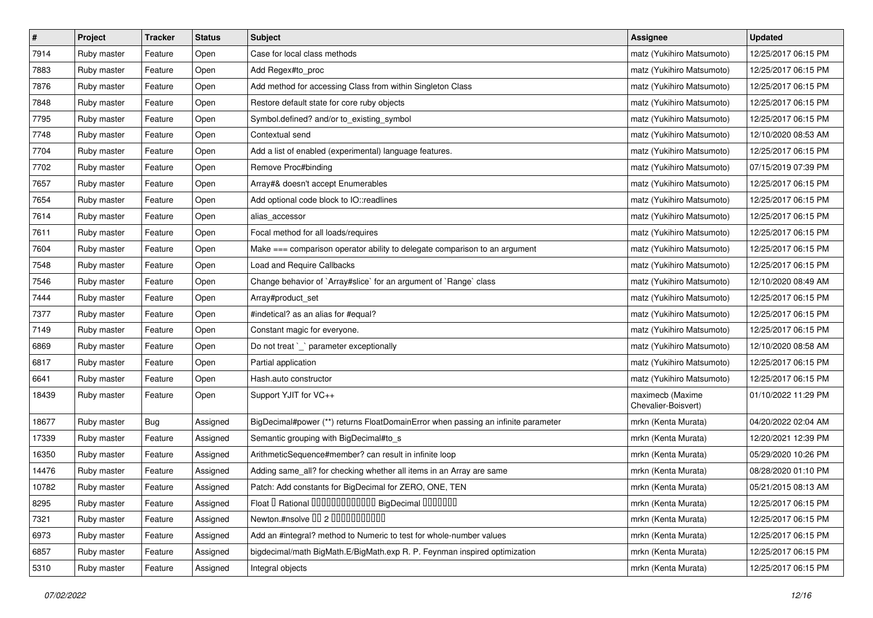| $\sharp$ | Project     | Tracker | <b>Status</b> | <b>Subject</b>                                                                    | <b>Assignee</b>                         | <b>Updated</b>      |
|----------|-------------|---------|---------------|-----------------------------------------------------------------------------------|-----------------------------------------|---------------------|
| 7914     | Ruby master | Feature | Open          | Case for local class methods                                                      | matz (Yukihiro Matsumoto)               | 12/25/2017 06:15 PM |
| 7883     | Ruby master | Feature | Open          | Add Regex#to_proc                                                                 | matz (Yukihiro Matsumoto)               | 12/25/2017 06:15 PM |
| 7876     | Ruby master | Feature | Open          | Add method for accessing Class from within Singleton Class                        | matz (Yukihiro Matsumoto)               | 12/25/2017 06:15 PM |
| 7848     | Ruby master | Feature | Open          | Restore default state for core ruby objects                                       | matz (Yukihiro Matsumoto)               | 12/25/2017 06:15 PM |
| 7795     | Ruby master | Feature | Open          | Symbol.defined? and/or to_existing_symbol                                         | matz (Yukihiro Matsumoto)               | 12/25/2017 06:15 PM |
| 7748     | Ruby master | Feature | Open          | Contextual send                                                                   | matz (Yukihiro Matsumoto)               | 12/10/2020 08:53 AM |
| 7704     | Ruby master | Feature | Open          | Add a list of enabled (experimental) language features.                           | matz (Yukihiro Matsumoto)               | 12/25/2017 06:15 PM |
| 7702     | Ruby master | Feature | Open          | Remove Proc#binding                                                               | matz (Yukihiro Matsumoto)               | 07/15/2019 07:39 PM |
| 7657     | Ruby master | Feature | Open          | Array#& doesn't accept Enumerables                                                | matz (Yukihiro Matsumoto)               | 12/25/2017 06:15 PM |
| 7654     | Ruby master | Feature | Open          | Add optional code block to IO::readlines                                          | matz (Yukihiro Matsumoto)               | 12/25/2017 06:15 PM |
| 7614     | Ruby master | Feature | Open          | alias_accessor                                                                    | matz (Yukihiro Matsumoto)               | 12/25/2017 06:15 PM |
| 7611     | Ruby master | Feature | Open          | Focal method for all loads/requires                                               | matz (Yukihiro Matsumoto)               | 12/25/2017 06:15 PM |
| 7604     | Ruby master | Feature | Open          | Make === comparison operator ability to delegate comparison to an argument        | matz (Yukihiro Matsumoto)               | 12/25/2017 06:15 PM |
| 7548     | Ruby master | Feature | Open          | <b>Load and Require Callbacks</b>                                                 | matz (Yukihiro Matsumoto)               | 12/25/2017 06:15 PM |
| 7546     | Ruby master | Feature | Open          | Change behavior of `Array#slice` for an argument of `Range` class                 | matz (Yukihiro Matsumoto)               | 12/10/2020 08:49 AM |
| 7444     | Ruby master | Feature | Open          | Array#product_set                                                                 | matz (Yukihiro Matsumoto)               | 12/25/2017 06:15 PM |
| 7377     | Ruby master | Feature | Open          | #indetical? as an alias for #equal?                                               | matz (Yukihiro Matsumoto)               | 12/25/2017 06:15 PM |
| 7149     | Ruby master | Feature | Open          | Constant magic for everyone.                                                      | matz (Yukihiro Matsumoto)               | 12/25/2017 06:15 PM |
| 6869     | Ruby master | Feature | Open          | Do not treat `_` parameter exceptionally                                          | matz (Yukihiro Matsumoto)               | 12/10/2020 08:58 AM |
| 6817     | Ruby master | Feature | Open          | Partial application                                                               | matz (Yukihiro Matsumoto)               | 12/25/2017 06:15 PM |
| 6641     | Ruby master | Feature | Open          | Hash.auto constructor                                                             | matz (Yukihiro Matsumoto)               | 12/25/2017 06:15 PM |
| 18439    | Ruby master | Feature | Open          | Support YJIT for VC++                                                             | maximecb (Maxime<br>Chevalier-Boisvert) | 01/10/2022 11:29 PM |
| 18677    | Ruby master | Bug     | Assigned      | BigDecimal#power (**) returns FloatDomainError when passing an infinite parameter | mrkn (Kenta Murata)                     | 04/20/2022 02:04 AM |
| 17339    | Ruby master | Feature | Assigned      | Semantic grouping with BigDecimal#to_s                                            | mrkn (Kenta Murata)                     | 12/20/2021 12:39 PM |
| 16350    | Ruby master | Feature | Assigned      | ArithmeticSequence#member? can result in infinite loop                            | mrkn (Kenta Murata)                     | 05/29/2020 10:26 PM |
| 14476    | Ruby master | Feature | Assigned      | Adding same_all? for checking whether all items in an Array are same              | mrkn (Kenta Murata)                     | 08/28/2020 01:10 PM |
| 10782    | Ruby master | Feature | Assigned      | Patch: Add constants for BigDecimal for ZERO, ONE, TEN                            | mrkn (Kenta Murata)                     | 05/21/2015 08:13 AM |
| 8295     | Ruby master | Feature | Assigned      | Float I Rational IIIIIIIIIIIIIIIIIII BigDecimal IIIIIIIIII                        | mrkn (Kenta Murata)                     | 12/25/2017 06:15 PM |
| 7321     | Ruby master | Feature | Assigned      | Newton.#nsolve 00 2 00000000000                                                   | mrkn (Kenta Murata)                     | 12/25/2017 06:15 PM |
| 6973     | Ruby master | Feature | Assigned      | Add an #integral? method to Numeric to test for whole-number values               | mrkn (Kenta Murata)                     | 12/25/2017 06:15 PM |
| 6857     | Ruby master | Feature | Assigned      | bigdecimal/math BigMath.E/BigMath.exp R. P. Feynman inspired optimization         | mrkn (Kenta Murata)                     | 12/25/2017 06:15 PM |
| 5310     | Ruby master | Feature | Assigned      | Integral objects                                                                  | mrkn (Kenta Murata)                     | 12/25/2017 06:15 PM |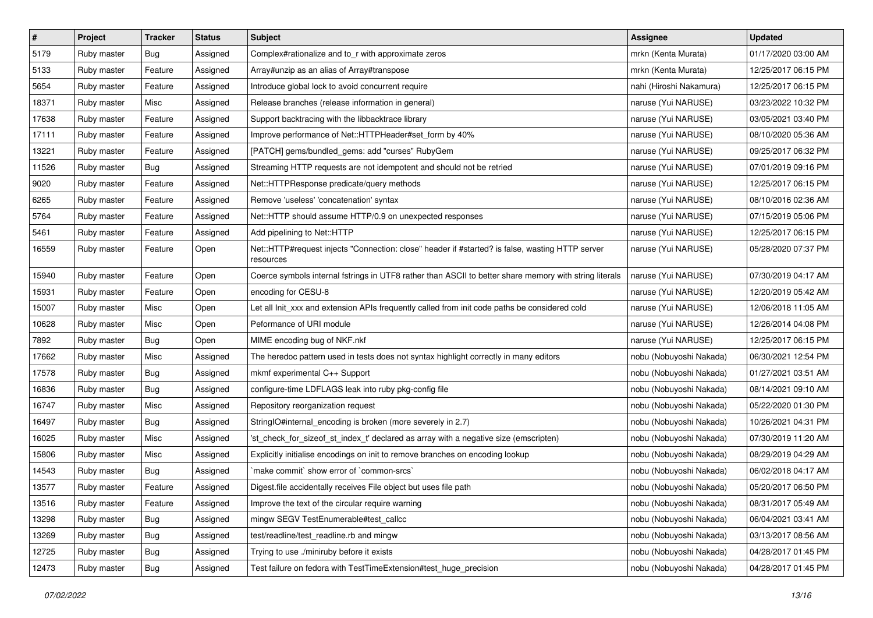| $\pmb{\#}$ | Project     | <b>Tracker</b> | <b>Status</b> | <b>Subject</b>                                                                                               | <b>Assignee</b>         | <b>Updated</b>      |
|------------|-------------|----------------|---------------|--------------------------------------------------------------------------------------------------------------|-------------------------|---------------------|
| 5179       | Ruby master | <b>Bug</b>     | Assigned      | Complex#rationalize and to_r with approximate zeros                                                          | mrkn (Kenta Murata)     | 01/17/2020 03:00 AM |
| 5133       | Ruby master | Feature        | Assigned      | Array#unzip as an alias of Array#transpose                                                                   | mrkn (Kenta Murata)     | 12/25/2017 06:15 PM |
| 5654       | Ruby master | Feature        | Assigned      | Introduce global lock to avoid concurrent require                                                            | nahi (Hiroshi Nakamura) | 12/25/2017 06:15 PM |
| 18371      | Ruby master | Misc           | Assigned      | Release branches (release information in general)                                                            | naruse (Yui NARUSE)     | 03/23/2022 10:32 PM |
| 17638      | Ruby master | Feature        | Assigned      | Support backtracing with the libbacktrace library                                                            | naruse (Yui NARUSE)     | 03/05/2021 03:40 PM |
| 17111      | Ruby master | Feature        | Assigned      | Improve performance of Net::HTTPHeader#set form by 40%                                                       | naruse (Yui NARUSE)     | 08/10/2020 05:36 AM |
| 13221      | Ruby master | Feature        | Assigned      | [PATCH] gems/bundled_gems: add "curses" RubyGem                                                              | naruse (Yui NARUSE)     | 09/25/2017 06:32 PM |
| 11526      | Ruby master | Bug            | Assigned      | Streaming HTTP requests are not idempotent and should not be retried                                         | naruse (Yui NARUSE)     | 07/01/2019 09:16 PM |
| 9020       | Ruby master | Feature        | Assigned      | Net::HTTPResponse predicate/query methods                                                                    | naruse (Yui NARUSE)     | 12/25/2017 06:15 PM |
| 6265       | Ruby master | Feature        | Assigned      | Remove 'useless' 'concatenation' syntax                                                                      | naruse (Yui NARUSE)     | 08/10/2016 02:36 AM |
| 5764       | Ruby master | Feature        | Assigned      | Net::HTTP should assume HTTP/0.9 on unexpected responses                                                     | naruse (Yui NARUSE)     | 07/15/2019 05:06 PM |
| 5461       | Ruby master | Feature        | Assigned      | Add pipelining to Net::HTTP                                                                                  | naruse (Yui NARUSE)     | 12/25/2017 06:15 PM |
| 16559      | Ruby master | Feature        | Open          | Net::HTTP#request injects "Connection: close" header if #started? is false, wasting HTTP server<br>resources | naruse (Yui NARUSE)     | 05/28/2020 07:37 PM |
| 15940      | Ruby master | Feature        | Open          | Coerce symbols internal fstrings in UTF8 rather than ASCII to better share memory with string literals       | naruse (Yui NARUSE)     | 07/30/2019 04:17 AM |
| 15931      | Ruby master | Feature        | Open          | encoding for CESU-8                                                                                          | naruse (Yui NARUSE)     | 12/20/2019 05:42 AM |
| 15007      | Ruby master | Misc           | Open          | Let all Init_xxx and extension APIs frequently called from init code paths be considered cold                | naruse (Yui NARUSE)     | 12/06/2018 11:05 AM |
| 10628      | Ruby master | Misc           | Open          | Peformance of URI module                                                                                     | naruse (Yui NARUSE)     | 12/26/2014 04:08 PM |
| 7892       | Ruby master | <b>Bug</b>     | Open          | MIME encoding bug of NKF.nkf                                                                                 | naruse (Yui NARUSE)     | 12/25/2017 06:15 PM |
| 17662      | Ruby master | Misc           | Assigned      | The heredoc pattern used in tests does not syntax highlight correctly in many editors                        | nobu (Nobuyoshi Nakada) | 06/30/2021 12:54 PM |
| 17578      | Ruby master | <b>Bug</b>     | Assigned      | mkmf experimental C++ Support                                                                                | nobu (Nobuyoshi Nakada) | 01/27/2021 03:51 AM |
| 16836      | Ruby master | <b>Bug</b>     | Assigned      | configure-time LDFLAGS leak into ruby pkg-config file                                                        | nobu (Nobuyoshi Nakada) | 08/14/2021 09:10 AM |
| 16747      | Ruby master | Misc           | Assigned      | Repository reorganization request                                                                            | nobu (Nobuyoshi Nakada) | 05/22/2020 01:30 PM |
| 16497      | Ruby master | Bug            | Assigned      | StringIO#internal_encoding is broken (more severely in 2.7)                                                  | nobu (Nobuyoshi Nakada) | 10/26/2021 04:31 PM |
| 16025      | Ruby master | Misc           | Assigned      | 'st_check_for_sizeof_st_index_t' declared as array with a negative size (emscripten)                         | nobu (Nobuyoshi Nakada) | 07/30/2019 11:20 AM |
| 15806      | Ruby master | Misc           | Assigned      | Explicitly initialise encodings on init to remove branches on encoding lookup                                | nobu (Nobuyoshi Nakada) | 08/29/2019 04:29 AM |
| 14543      | Ruby master | <b>Bug</b>     | Assigned      | 'make commit' show error of 'common-srcs'                                                                    | nobu (Nobuyoshi Nakada) | 06/02/2018 04:17 AM |
| 13577      | Ruby master | Feature        | Assigned      | Digest file accidentally receives File object but uses file path                                             | nobu (Nobuyoshi Nakada) | 05/20/2017 06:50 PM |
| 13516      | Ruby master | Feature        | Assigned      | Improve the text of the circular require warning                                                             | nobu (Nobuyoshi Nakada) | 08/31/2017 05:49 AM |
| 13298      | Ruby master | <b>Bug</b>     | Assigned      | mingw SEGV TestEnumerable#test_callcc                                                                        | nobu (Nobuyoshi Nakada) | 06/04/2021 03:41 AM |
| 13269      | Ruby master | <b>Bug</b>     | Assigned      | test/readline/test_readline.rb and mingw                                                                     | nobu (Nobuyoshi Nakada) | 03/13/2017 08:56 AM |
| 12725      | Ruby master | <b>Bug</b>     | Assigned      | Trying to use ./miniruby before it exists                                                                    | nobu (Nobuyoshi Nakada) | 04/28/2017 01:45 PM |
| 12473      | Ruby master | <b>Bug</b>     | Assigned      | Test failure on fedora with TestTimeExtension#test_huge_precision                                            | nobu (Nobuyoshi Nakada) | 04/28/2017 01:45 PM |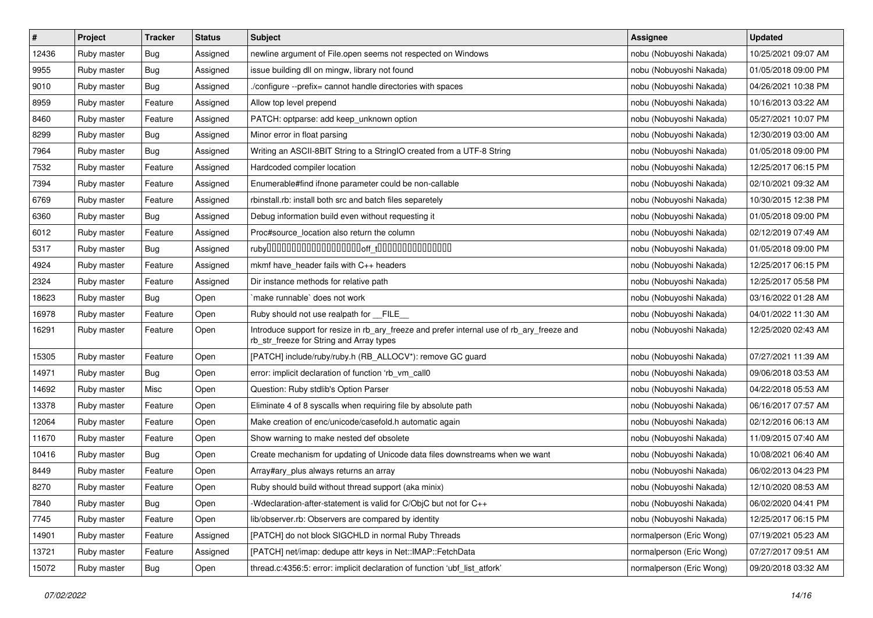| $\sharp$ | Project     | <b>Tracker</b> | <b>Status</b> | <b>Subject</b>                                                                                                                         | Assignee                 | <b>Updated</b>      |
|----------|-------------|----------------|---------------|----------------------------------------------------------------------------------------------------------------------------------------|--------------------------|---------------------|
| 12436    | Ruby master | <b>Bug</b>     | Assigned      | newline argument of File.open seems not respected on Windows                                                                           | nobu (Nobuyoshi Nakada)  | 10/25/2021 09:07 AM |
| 9955     | Ruby master | Bug            | Assigned      | issue building dll on mingw, library not found                                                                                         | nobu (Nobuyoshi Nakada)  | 01/05/2018 09:00 PM |
| 9010     | Ruby master | <b>Bug</b>     | Assigned      | ./configure --prefix= cannot handle directories with spaces                                                                            | nobu (Nobuyoshi Nakada)  | 04/26/2021 10:38 PM |
| 8959     | Ruby master | Feature        | Assigned      | Allow top level prepend                                                                                                                | nobu (Nobuyoshi Nakada)  | 10/16/2013 03:22 AM |
| 8460     | Ruby master | Feature        | Assigned      | PATCH: optparse: add keep_unknown option                                                                                               | nobu (Nobuyoshi Nakada)  | 05/27/2021 10:07 PM |
| 8299     | Ruby master | <b>Bug</b>     | Assigned      | Minor error in float parsing                                                                                                           | nobu (Nobuyoshi Nakada)  | 12/30/2019 03:00 AM |
| 7964     | Ruby master | <b>Bug</b>     | Assigned      | Writing an ASCII-8BIT String to a StringIO created from a UTF-8 String                                                                 | nobu (Nobuyoshi Nakada)  | 01/05/2018 09:00 PM |
| 7532     | Ruby master | Feature        | Assigned      | Hardcoded compiler location                                                                                                            | nobu (Nobuyoshi Nakada)  | 12/25/2017 06:15 PM |
| 7394     | Ruby master | Feature        | Assigned      | Enumerable#find ifnone parameter could be non-callable                                                                                 | nobu (Nobuyoshi Nakada)  | 02/10/2021 09:32 AM |
| 6769     | Ruby master | Feature        | Assigned      | rbinstall.rb: install both src and batch files separetely                                                                              | nobu (Nobuyoshi Nakada)  | 10/30/2015 12:38 PM |
| 6360     | Ruby master | Bug            | Assigned      | Debug information build even without requesting it                                                                                     | nobu (Nobuyoshi Nakada)  | 01/05/2018 09:00 PM |
| 6012     | Ruby master | Feature        | Assigned      | Proc#source_location also return the column                                                                                            | nobu (Nobuyoshi Nakada)  | 02/12/2019 07:49 AM |
| 5317     | Ruby master | <b>Bug</b>     | Assigned      |                                                                                                                                        | nobu (Nobuyoshi Nakada)  | 01/05/2018 09:00 PM |
| 4924     | Ruby master | Feature        | Assigned      | mkmf have_header fails with C++ headers                                                                                                | nobu (Nobuyoshi Nakada)  | 12/25/2017 06:15 PM |
| 2324     | Ruby master | Feature        | Assigned      | Dir instance methods for relative path                                                                                                 | nobu (Nobuyoshi Nakada)  | 12/25/2017 05:58 PM |
| 18623    | Ruby master | Bug            | Open          | make runnable' does not work                                                                                                           | nobu (Nobuyoshi Nakada)  | 03/16/2022 01:28 AM |
| 16978    | Ruby master | Feature        | Open          | Ruby should not use realpath for __FILE_                                                                                               | nobu (Nobuyoshi Nakada)  | 04/01/2022 11:30 AM |
| 16291    | Ruby master | Feature        | Open          | Introduce support for resize in rb_ary_freeze and prefer internal use of rb_ary_freeze and<br>rb_str_freeze for String and Array types | nobu (Nobuyoshi Nakada)  | 12/25/2020 02:43 AM |
| 15305    | Ruby master | Feature        | Open          | [PATCH] include/ruby/ruby.h (RB_ALLOCV*): remove GC guard                                                                              | nobu (Nobuyoshi Nakada)  | 07/27/2021 11:39 AM |
| 14971    | Ruby master | <b>Bug</b>     | Open          | error: implicit declaration of function 'rb_vm_call0                                                                                   | nobu (Nobuyoshi Nakada)  | 09/06/2018 03:53 AM |
| 14692    | Ruby master | Misc           | Open          | Question: Ruby stdlib's Option Parser                                                                                                  | nobu (Nobuyoshi Nakada)  | 04/22/2018 05:53 AM |
| 13378    | Ruby master | Feature        | Open          | Eliminate 4 of 8 syscalls when requiring file by absolute path                                                                         | nobu (Nobuyoshi Nakada)  | 06/16/2017 07:57 AM |
| 12064    | Ruby master | Feature        | Open          | Make creation of enc/unicode/casefold.h automatic again                                                                                | nobu (Nobuyoshi Nakada)  | 02/12/2016 06:13 AM |
| 11670    | Ruby master | Feature        | Open          | Show warning to make nested def obsolete                                                                                               | nobu (Nobuyoshi Nakada)  | 11/09/2015 07:40 AM |
| 10416    | Ruby master | Bug            | Open          | Create mechanism for updating of Unicode data files downstreams when we want                                                           | nobu (Nobuyoshi Nakada)  | 10/08/2021 06:40 AM |
| 8449     | Ruby master | Feature        | Open          | Array#ary_plus always returns an array                                                                                                 | nobu (Nobuyoshi Nakada)  | 06/02/2013 04:23 PM |
| 8270     | Ruby master | Feature        | Open          | Ruby should build without thread support (aka minix)                                                                                   | nobu (Nobuyoshi Nakada)  | 12/10/2020 08:53 AM |
| 7840     | Ruby master | <b>Bug</b>     | Open          | -Wdeclaration-after-statement is valid for C/ObjC but not for C++                                                                      | nobu (Nobuyoshi Nakada)  | 06/02/2020 04:41 PM |
| 7745     | Ruby master | Feature        | Open          | lib/observer.rb: Observers are compared by identity                                                                                    | nobu (Nobuyoshi Nakada)  | 12/25/2017 06:15 PM |
| 14901    | Ruby master | Feature        | Assigned      | [PATCH] do not block SIGCHLD in normal Ruby Threads                                                                                    | normalperson (Eric Wong) | 07/19/2021 05:23 AM |
| 13721    | Ruby master | Feature        | Assigned      | [PATCH] net/imap: dedupe attr keys in Net::IMAP::FetchData                                                                             | normalperson (Eric Wong) | 07/27/2017 09:51 AM |
| 15072    | Ruby master | <b>Bug</b>     | Open          | thread.c:4356:5: error: implicit declaration of function 'ubf_list_atfork'                                                             | normalperson (Eric Wong) | 09/20/2018 03:32 AM |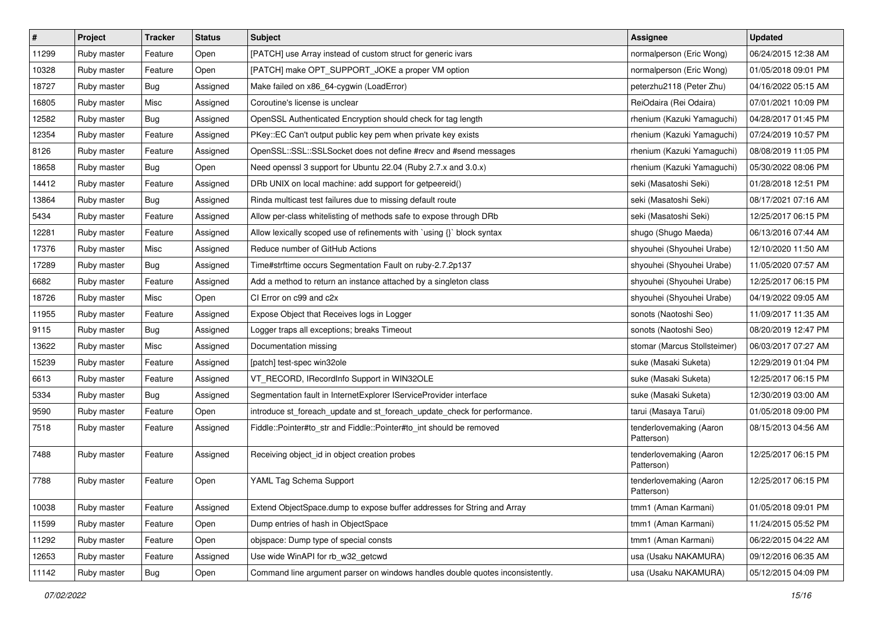| $\vert$ # | Project     | Tracker    | <b>Status</b> | <b>Subject</b>                                                                | <b>Assignee</b>                       | <b>Updated</b>      |
|-----------|-------------|------------|---------------|-------------------------------------------------------------------------------|---------------------------------------|---------------------|
| 11299     | Ruby master | Feature    | Open          | [PATCH] use Array instead of custom struct for generic ivars                  | normalperson (Eric Wong)              | 06/24/2015 12:38 AM |
| 10328     | Ruby master | Feature    | Open          | [PATCH] make OPT_SUPPORT_JOKE a proper VM option                              | normalperson (Eric Wong)              | 01/05/2018 09:01 PM |
| 18727     | Ruby master | Bug        | Assigned      | Make failed on x86_64-cygwin (LoadError)                                      | peterzhu2118 (Peter Zhu)              | 04/16/2022 05:15 AM |
| 16805     | Ruby master | Misc       | Assigned      | Coroutine's license is unclear                                                | ReiOdaira (Rei Odaira)                | 07/01/2021 10:09 PM |
| 12582     | Ruby master | <b>Bug</b> | Assigned      | OpenSSL Authenticated Encryption should check for tag length                  | rhenium (Kazuki Yamaguchi)            | 04/28/2017 01:45 PM |
| 12354     | Ruby master | Feature    | Assigned      | PKey::EC Can't output public key pem when private key exists                  | rhenium (Kazuki Yamaguchi)            | 07/24/2019 10:57 PM |
| 8126      | Ruby master | Feature    | Assigned      | OpenSSL::SSL::SSLSocket does not define #recv and #send messages              | rhenium (Kazuki Yamaguchi)            | 08/08/2019 11:05 PM |
| 18658     | Ruby master | Bug        | Open          | Need openssl 3 support for Ubuntu 22.04 (Ruby 2.7.x and 3.0.x)                | rhenium (Kazuki Yamaguchi)            | 05/30/2022 08:06 PM |
| 14412     | Ruby master | Feature    | Assigned      | DRb UNIX on local machine: add support for getpeereid()                       | seki (Masatoshi Seki)                 | 01/28/2018 12:51 PM |
| 13864     | Ruby master | Bug        | Assigned      | Rinda multicast test failures due to missing default route                    | seki (Masatoshi Seki)                 | 08/17/2021 07:16 AM |
| 5434      | Ruby master | Feature    | Assigned      | Allow per-class whitelisting of methods safe to expose through DRb            | seki (Masatoshi Seki)                 | 12/25/2017 06:15 PM |
| 12281     | Ruby master | Feature    | Assigned      | Allow lexically scoped use of refinements with `using {}` block syntax        | shugo (Shugo Maeda)                   | 06/13/2016 07:44 AM |
| 17376     | Ruby master | Misc       | Assigned      | Reduce number of GitHub Actions                                               | shyouhei (Shyouhei Urabe)             | 12/10/2020 11:50 AM |
| 17289     | Ruby master | <b>Bug</b> | Assigned      | Time#strftime occurs Segmentation Fault on ruby-2.7.2p137                     | shyouhei (Shyouhei Urabe)             | 11/05/2020 07:57 AM |
| 6682      | Ruby master | Feature    | Assigned      | Add a method to return an instance attached by a singleton class              | shyouhei (Shyouhei Urabe)             | 12/25/2017 06:15 PM |
| 18726     | Ruby master | Misc       | Open          | CI Error on c99 and c2x                                                       | shyouhei (Shyouhei Urabe)             | 04/19/2022 09:05 AM |
| 11955     | Ruby master | Feature    | Assigned      | Expose Object that Receives logs in Logger                                    | sonots (Naotoshi Seo)                 | 11/09/2017 11:35 AM |
| 9115      | Ruby master | Bug        | Assigned      | Logger traps all exceptions; breaks Timeout                                   | sonots (Naotoshi Seo)                 | 08/20/2019 12:47 PM |
| 13622     | Ruby master | Misc       | Assigned      | Documentation missing                                                         | stomar (Marcus Stollsteimer)          | 06/03/2017 07:27 AM |
| 15239     | Ruby master | Feature    | Assigned      | [patch] test-spec win32ole                                                    | suke (Masaki Suketa)                  | 12/29/2019 01:04 PM |
| 6613      | Ruby master | Feature    | Assigned      | VT_RECORD, IRecordInfo Support in WIN32OLE                                    | suke (Masaki Suketa)                  | 12/25/2017 06:15 PM |
| 5334      | Ruby master | Bug        | Assigned      | Segmentation fault in InternetExplorer IServiceProvider interface             | suke (Masaki Suketa)                  | 12/30/2019 03:00 AM |
| 9590      | Ruby master | Feature    | Open          | introduce st_foreach_update and st_foreach_update_check for performance.      | tarui (Masaya Tarui)                  | 01/05/2018 09:00 PM |
| 7518      | Ruby master | Feature    | Assigned      | Fiddle::Pointer#to_str and Fiddle::Pointer#to_int should be removed           | tenderlovemaking (Aaron<br>Patterson) | 08/15/2013 04:56 AM |
| 7488      | Ruby master | Feature    | Assigned      | Receiving object_id in object creation probes                                 | tenderlovemaking (Aaron<br>Patterson) | 12/25/2017 06:15 PM |
| 7788      | Ruby master | Feature    | Open          | YAML Tag Schema Support                                                       | tenderlovemaking (Aaron<br>Patterson) | 12/25/2017 06:15 PM |
| 10038     | Ruby master | Feature    | Assigned      | Extend ObjectSpace.dump to expose buffer addresses for String and Array       | tmm1 (Aman Karmani)                   | 01/05/2018 09:01 PM |
| 11599     | Ruby master | Feature    | Open          | Dump entries of hash in ObjectSpace                                           | tmm1 (Aman Karmani)                   | 11/24/2015 05:52 PM |
| 11292     | Ruby master | Feature    | Open          | objspace: Dump type of special consts                                         | tmm1 (Aman Karmani)                   | 06/22/2015 04:22 AM |
| 12653     | Ruby master | Feature    | Assigned      | Use wide WinAPI for rb_w32_getcwd                                             | usa (Usaku NAKAMURA)                  | 09/12/2016 06:35 AM |
| 11142     | Ruby master | Bug        | Open          | Command line argument parser on windows handles double quotes inconsistently. | usa (Usaku NAKAMURA)                  | 05/12/2015 04:09 PM |